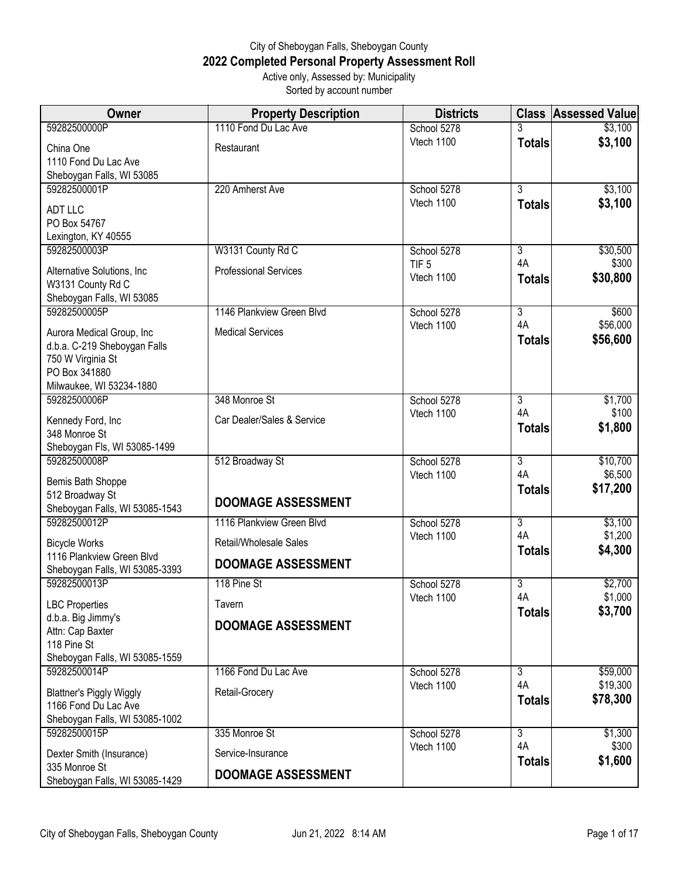## City of Sheboygan Falls, Sheboygan County **2022 Completed Personal Property Assessment Roll** Active only, Assessed by: Municipality

Sorted by account number

| <b>Owner</b>                                                                                                                | <b>Property Description</b>                         | <b>Districts</b>               |                     | <b>Class Assessed Value</b> |
|-----------------------------------------------------------------------------------------------------------------------------|-----------------------------------------------------|--------------------------------|---------------------|-----------------------------|
| 59282500000P                                                                                                                | 1110 Fond Du Lac Ave                                | School 5278                    |                     | \$3,100                     |
| China One<br>1110 Fond Du Lac Ave<br>Sheboygan Falls, WI 53085                                                              | Restaurant                                          | Vtech 1100                     | <b>Totals</b>       | \$3,100                     |
| 59282500001P                                                                                                                | 220 Amherst Ave                                     | School 5278                    | 3                   | \$3,100                     |
| <b>ADT LLC</b><br>PO Box 54767<br>Lexington, KY 40555                                                                       |                                                     | Vtech 1100                     | <b>Totals</b>       | \$3,100                     |
| 59282500003P                                                                                                                | W3131 County Rd C                                   | School 5278                    | $\overline{3}$      | \$30,500                    |
| Alternative Solutions, Inc.<br>W3131 County Rd C<br>Sheboygan Falls, WI 53085                                               | <b>Professional Services</b>                        | TIF <sub>5</sub><br>Vtech 1100 | 4A<br><b>Totals</b> | \$300<br>\$30,800           |
| 59282500005P                                                                                                                | 1146 Plankview Green Blvd                           | School 5278                    | $\overline{3}$      | \$600                       |
| Aurora Medical Group, Inc<br>d.b.a. C-219 Sheboygan Falls<br>750 W Virginia St<br>PO Box 341880<br>Milwaukee, WI 53234-1880 | <b>Medical Services</b>                             | Vtech 1100                     | 4A<br><b>Totals</b> | \$56,000<br>\$56,600        |
| 59282500006P                                                                                                                | 348 Monroe St                                       | School 5278                    | 3                   | \$1,700                     |
| Kennedy Ford, Inc<br>348 Monroe St<br>Sheboygan Fls, WI 53085-1499                                                          | Car Dealer/Sales & Service                          | Vtech 1100                     | 4A<br><b>Totals</b> | \$100<br>\$1,800            |
| 59282500008P                                                                                                                | 512 Broadway St                                     | School 5278                    | $\overline{3}$      | \$10,700                    |
| Bemis Bath Shoppe<br>512 Broadway St<br>Sheboygan Falls, WI 53085-1543                                                      | <b>DOOMAGE ASSESSMENT</b>                           | Vtech 1100                     | 4A<br><b>Totals</b> | \$6,500<br>\$17,200         |
| 59282500012P                                                                                                                | 1116 Plankview Green Blvd                           | School 5278                    | 3                   | \$3,100                     |
| <b>Bicycle Works</b><br>1116 Plankview Green Blvd                                                                           | Retail/Wholesale Sales<br><b>DOOMAGE ASSESSMENT</b> | Vtech 1100                     | 4A<br><b>Totals</b> | \$1,200<br>\$4,300          |
| Sheboygan Falls, WI 53085-3393<br>59282500013P                                                                              | 118 Pine St                                         | School 5278                    | $\overline{3}$      | \$2,700                     |
| <b>LBC Properties</b>                                                                                                       | Tavern                                              | Vtech 1100                     | 4A<br><b>Totals</b> | \$1,000<br>\$3,700          |
| d.b.a. Big Jimmy's<br>Attn: Cap Baxter<br>118 Pine St<br>Sheboygan Falls, WI 53085-1559                                     | <b>DOOMAGE ASSESSMENT</b>                           |                                |                     |                             |
| 59282500014P                                                                                                                | 1166 Fond Du Lac Ave                                | School 5278                    | $\overline{3}$      | \$59,000                    |
| <b>Blattner's Piggly Wiggly</b><br>1166 Fond Du Lac Ave<br>Sheboygan Falls, WI 53085-1002                                   | Retail-Grocery                                      | Vtech 1100                     | 4A<br><b>Totals</b> | \$19,300<br>\$78,300        |
| 59282500015P                                                                                                                | 335 Monroe St                                       | School 5278                    | $\overline{3}$      | \$1,300                     |
| Dexter Smith (Insurance)<br>335 Monroe St                                                                                   | Service-Insurance                                   | Vtech 1100                     | 4A<br><b>Totals</b> | \$300<br>\$1,600            |
| Sheboygan Falls, WI 53085-1429                                                                                              | <b>DOOMAGE ASSESSMENT</b>                           |                                |                     |                             |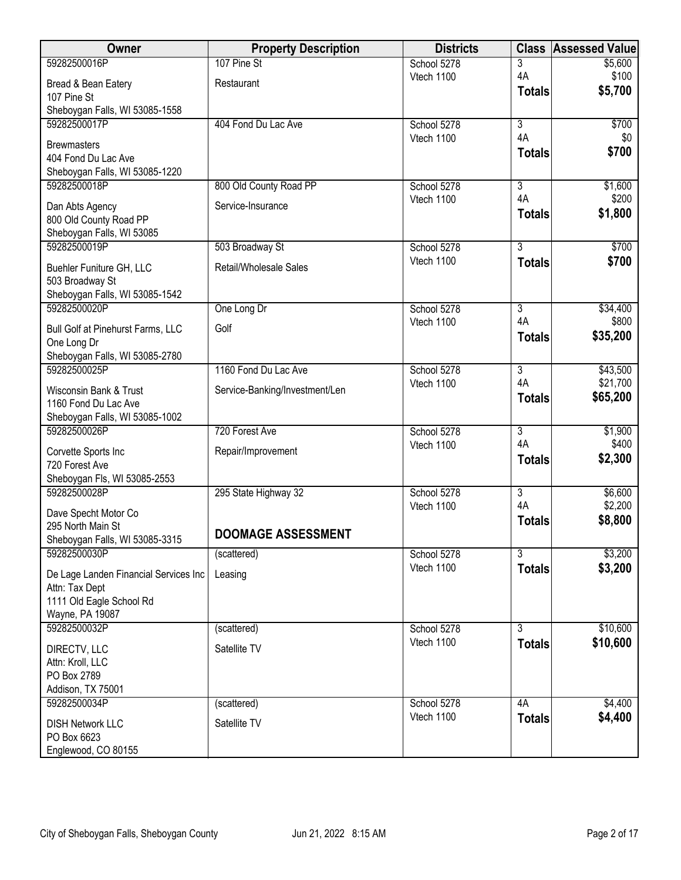| Owner                                                  | <b>Property Description</b>    | <b>Districts</b>          |                      | <b>Class Assessed Value</b> |
|--------------------------------------------------------|--------------------------------|---------------------------|----------------------|-----------------------------|
| 59282500016P                                           | 107 Pine St                    | School 5278               | 3                    | \$5,600                     |
| Bread & Bean Eatery                                    | Restaurant                     | Vtech 1100                | 4A<br><b>Totals</b>  | \$100<br>\$5,700            |
| 107 Pine St                                            |                                |                           |                      |                             |
| Sheboygan Falls, WI 53085-1558<br>59282500017P         | 404 Fond Du Lac Ave            | School 5278               | $\overline{3}$       | \$700                       |
|                                                        |                                | Vtech 1100                | 4A                   | \$0                         |
| <b>Brewmasters</b><br>404 Fond Du Lac Ave              |                                |                           | <b>Totals</b>        | \$700                       |
| Sheboygan Falls, WI 53085-1220                         |                                |                           |                      |                             |
| 59282500018P                                           | 800 Old County Road PP         | School 5278               | 3                    | \$1,600                     |
| Dan Abts Agency                                        | Service-Insurance              | Vtech 1100                | 4A                   | \$200                       |
| 800 Old County Road PP                                 |                                |                           | <b>Totals</b>        | \$1,800                     |
| Sheboygan Falls, WI 53085<br>59282500019P              | 503 Broadway St                | School 5278               | $\overline{3}$       | \$700                       |
|                                                        |                                | Vtech 1100                | <b>Totals</b>        | \$700                       |
| Buehler Funiture GH, LLC<br>503 Broadway St            | Retail/Wholesale Sales         |                           |                      |                             |
| Sheboygan Falls, WI 53085-1542                         |                                |                           |                      |                             |
| 59282500020P                                           | One Long Dr                    | School 5278               | 3                    | \$34,400                    |
| Bull Golf at Pinehurst Farms, LLC                      | Golf                           | Vtech 1100                | 4A                   | \$800                       |
| One Long Dr                                            |                                |                           | <b>Totals</b>        | \$35,200                    |
| Sheboygan Falls, WI 53085-2780                         |                                |                           |                      |                             |
| 59282500025P                                           | 1160 Fond Du Lac Ave           | School 5278<br>Vtech 1100 | $\overline{3}$<br>4A | \$43,500<br>\$21,700        |
| Wisconsin Bank & Trust                                 | Service-Banking/Investment/Len |                           | <b>Totals</b>        | \$65,200                    |
| 1160 Fond Du Lac Ave<br>Sheboygan Falls, WI 53085-1002 |                                |                           |                      |                             |
| 59282500026P                                           | 720 Forest Ave                 | School 5278               | $\overline{3}$       | \$1,900                     |
| Corvette Sports Inc                                    | Repair/Improvement             | Vtech 1100                | 4A                   | \$400                       |
| 720 Forest Ave                                         |                                |                           | <b>Totals</b>        | \$2,300                     |
| Sheboygan Fls, WI 53085-2553                           |                                |                           |                      |                             |
| 59282500028P                                           | 295 State Highway 32           | School 5278<br>Vtech 1100 | $\overline{3}$<br>4A | \$6,600<br>\$2,200          |
| Dave Specht Motor Co                                   |                                |                           | <b>Totals</b>        | \$8,800                     |
| 295 North Main St<br>Sheboygan Falls, WI 53085-3315    | <b>DOOMAGE ASSESSMENT</b>      |                           |                      |                             |
| 59282500030P                                           | (scattered)                    | School 5278               | 3                    | \$3,200                     |
| De Lage Landen Financial Services Inc                  | Leasing                        | Vtech 1100                | <b>Totals</b>        | \$3,200                     |
| Attn: Tax Dept                                         |                                |                           |                      |                             |
| 1111 Old Eagle School Rd                               |                                |                           |                      |                             |
| Wayne, PA 19087<br>59282500032P                        | (scattered)                    | School 5278               | 3                    | \$10,600                    |
| DIRECTV, LLC                                           | Satellite TV                   | Vtech 1100                | <b>Totals</b>        | \$10,600                    |
| Attn: Kroll, LLC                                       |                                |                           |                      |                             |
| PO Box 2789                                            |                                |                           |                      |                             |
| Addison, TX 75001                                      |                                |                           |                      |                             |
| 59282500034P                                           | (scattered)                    | School 5278<br>Vtech 1100 | 4A<br><b>Totals</b>  | \$4,400<br>\$4,400          |
| <b>DISH Network LLC</b><br>PO Box 6623                 | Satellite TV                   |                           |                      |                             |
| Englewood, CO 80155                                    |                                |                           |                      |                             |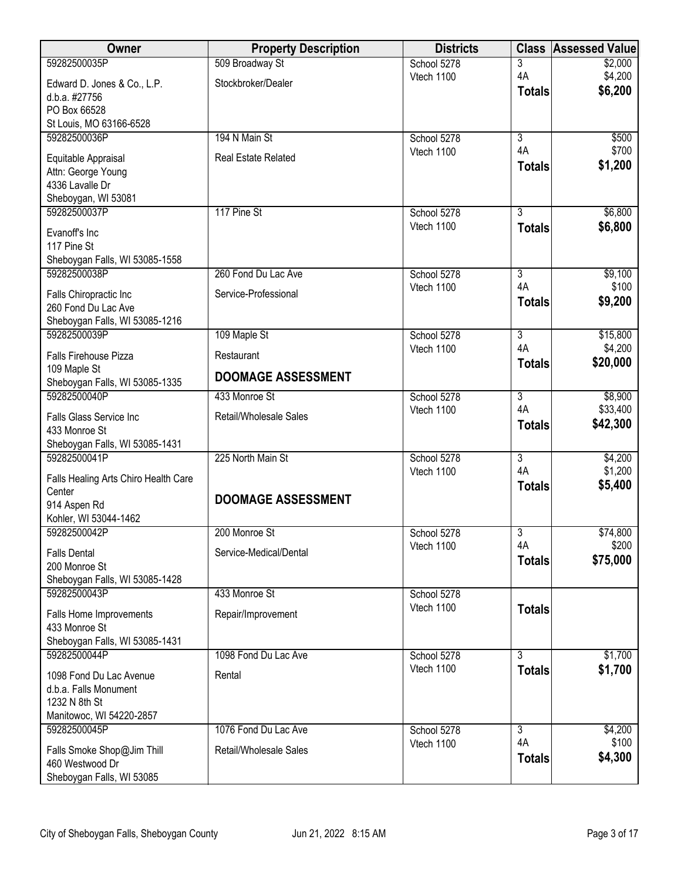| Owner                                                 | <b>Property Description</b> | <b>Districts</b> | <b>Class</b>              | <b>Assessed Value</b> |
|-------------------------------------------------------|-----------------------------|------------------|---------------------------|-----------------------|
| 59282500035P                                          | 509 Broadway St             | School 5278      | 3                         | \$2,000               |
| Edward D. Jones & Co., L.P.                           | Stockbroker/Dealer          | Vtech 1100       | 4A                        | \$4,200<br>\$6,200    |
| d.b.a. #27756                                         |                             |                  | <b>Totals</b>             |                       |
| PO Box 66528<br>St Louis, MO 63166-6528               |                             |                  |                           |                       |
| 59282500036P                                          | 194 N Main St               | School 5278      | $\overline{3}$            | \$500                 |
|                                                       |                             | Vtech 1100       | 4A                        | \$700                 |
| Equitable Appraisal<br>Attn: George Young             | <b>Real Estate Related</b>  |                  | <b>Totals</b>             | \$1,200               |
| 4336 Lavalle Dr                                       |                             |                  |                           |                       |
| Sheboygan, WI 53081                                   |                             |                  |                           |                       |
| 59282500037P                                          | 117 Pine St                 | School 5278      | $\overline{3}$            | \$6,800               |
| Evanoff's Inc                                         |                             | Vtech 1100       | <b>Totals</b>             | \$6,800               |
| 117 Pine St                                           |                             |                  |                           |                       |
| Sheboygan Falls, WI 53085-1558<br>59282500038P        | 260 Fond Du Lac Ave         | School 5278      | $\overline{3}$            | \$9,100               |
|                                                       |                             | Vtech 1100       | 4A                        | \$100                 |
| Falls Chiropractic Inc                                | Service-Professional        |                  | <b>Totals</b>             | \$9,200               |
| 260 Fond Du Lac Ave<br>Sheboygan Falls, WI 53085-1216 |                             |                  |                           |                       |
| 59282500039P                                          | 109 Maple St                | School 5278      | $\overline{3}$            | \$15,800              |
| Falls Firehouse Pizza                                 | Restaurant                  | Vtech 1100       | 4A                        | \$4,200               |
| 109 Maple St                                          |                             |                  | <b>Totals</b>             | \$20,000              |
| Sheboygan Falls, WI 53085-1335                        | <b>DOOMAGE ASSESSMENT</b>   |                  |                           |                       |
| 59282500040P                                          | 433 Monroe St               | School 5278      | $\overline{3}$            | \$8,900               |
| Falls Glass Service Inc                               | Retail/Wholesale Sales      | Vtech 1100       | 4A<br><b>Totals</b>       | \$33,400<br>\$42,300  |
| 433 Monroe St                                         |                             |                  |                           |                       |
| Sheboygan Falls, WI 53085-1431<br>59282500041P        | 225 North Main St           | School 5278      | $\overline{\overline{3}}$ | \$4,200               |
|                                                       |                             | Vtech 1100       | 4A                        | \$1,200               |
| Falls Healing Arts Chiro Health Care<br>Center        |                             |                  | <b>Totals</b>             | \$5,400               |
| 914 Aspen Rd                                          | <b>DOOMAGE ASSESSMENT</b>   |                  |                           |                       |
| Kohler, WI 53044-1462                                 |                             |                  |                           |                       |
| 59282500042P                                          | 200 Monroe St               | School 5278      | $\overline{3}$            | \$74,800              |
| <b>Falls Dental</b>                                   | Service-Medical/Dental      | Vtech 1100       | 4A<br><b>Totals</b>       | \$200<br>\$75,000     |
| 200 Monroe St                                         |                             |                  |                           |                       |
| Sheboygan Falls, WI 53085-1428<br>59282500043P        | 433 Monroe St               | School 5278      |                           |                       |
|                                                       |                             | Vtech 1100       | <b>Totals</b>             |                       |
| Falls Home Improvements<br>433 Monroe St              | Repair/Improvement          |                  |                           |                       |
| Sheboygan Falls, WI 53085-1431                        |                             |                  |                           |                       |
| 59282500044P                                          | 1098 Fond Du Lac Ave        | School 5278      | $\overline{3}$            | \$1,700               |
| 1098 Fond Du Lac Avenue                               | Rental                      | Vtech 1100       | <b>Totals</b>             | \$1,700               |
| d.b.a. Falls Monument                                 |                             |                  |                           |                       |
| 1232 N 8th St                                         |                             |                  |                           |                       |
| Manitowoc, WI 54220-2857<br>59282500045P              | 1076 Fond Du Lac Ave        | School 5278      | 3                         | \$4,200               |
|                                                       |                             | Vtech 1100       | 4A                        | \$100                 |
| Falls Smoke Shop@Jim Thill<br>460 Westwood Dr         | Retail/Wholesale Sales      |                  | <b>Totals</b>             | \$4,300               |
| Sheboygan Falls, WI 53085                             |                             |                  |                           |                       |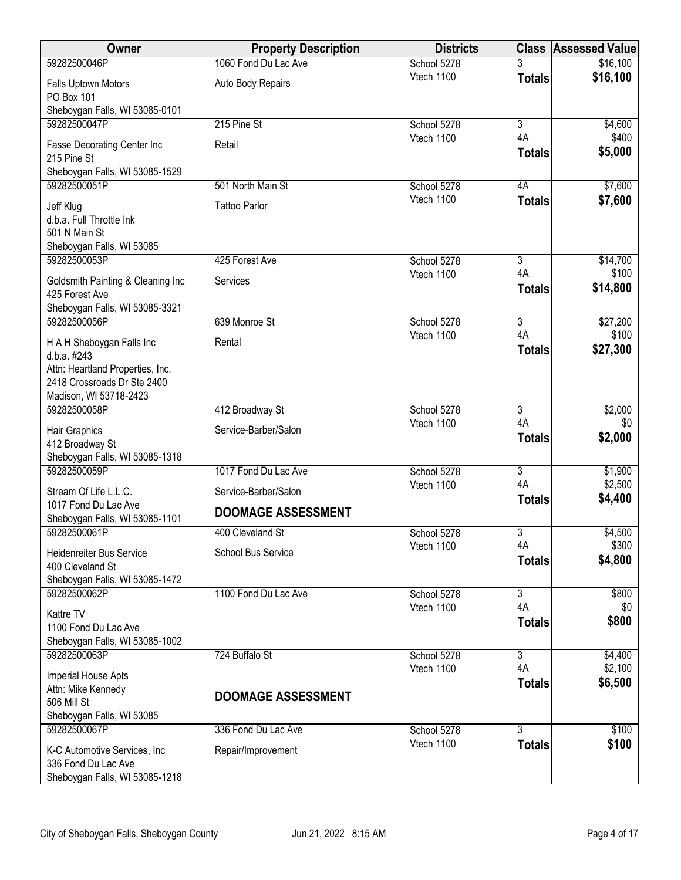| Owner                                                | <b>Property Description</b> | <b>Districts</b>          |                     | <b>Class Assessed Value</b> |
|------------------------------------------------------|-----------------------------|---------------------------|---------------------|-----------------------------|
| 59282500046P                                         | 1060 Fond Du Lac Ave        | School 5278               |                     | \$16,100                    |
| Falls Uptown Motors<br>PO Box 101                    | Auto Body Repairs           | Vtech 1100                | <b>Totals</b>       | \$16,100                    |
| Sheboygan Falls, WI 53085-0101                       |                             |                           |                     |                             |
| 59282500047P                                         | 215 Pine St                 | School 5278               | $\overline{3}$      | \$4,600                     |
| Fasse Decorating Center Inc                          | Retail                      | Vtech 1100                | 4A<br><b>Totals</b> | \$400<br>\$5,000            |
| 215 Pine St<br>Sheboygan Falls, WI 53085-1529        |                             |                           |                     |                             |
| 59282500051P                                         | 501 North Main St           | School 5278               | 4A                  | \$7,600                     |
|                                                      |                             | Vtech 1100                | <b>Totals</b>       | \$7,600                     |
| Jeff Klug                                            | <b>Tattoo Parlor</b>        |                           |                     |                             |
| d.b.a. Full Throttle Ink<br>501 N Main St            |                             |                           |                     |                             |
| Sheboygan Falls, WI 53085                            |                             |                           |                     |                             |
| 59282500053P                                         | 425 Forest Ave              | School 5278               | $\overline{3}$      | \$14,700                    |
|                                                      | Services                    | Vtech 1100                | 4A                  | \$100                       |
| Goldsmith Painting & Cleaning Inc<br>425 Forest Ave  |                             |                           | <b>Totals</b>       | \$14,800                    |
| Sheboygan Falls, WI 53085-3321                       |                             |                           |                     |                             |
| 59282500056P                                         | 639 Monroe St               | School 5278               | 3                   | \$27,200                    |
| H A H Sheboygan Falls Inc                            | Rental                      | Vtech 1100                | 4A                  | \$100                       |
| d.b.a. #243                                          |                             |                           | <b>Totals</b>       | \$27,300                    |
| Attn: Heartland Properties, Inc.                     |                             |                           |                     |                             |
| 2418 Crossroads Dr Ste 2400                          |                             |                           |                     |                             |
| Madison, WI 53718-2423                               |                             |                           |                     |                             |
| 59282500058P                                         | 412 Broadway St             | School 5278               | $\overline{3}$      | \$2,000                     |
| Hair Graphics                                        | Service-Barber/Salon        | Vtech 1100                | 4A                  | \$0                         |
| 412 Broadway St                                      |                             |                           | <b>Totals</b>       | \$2,000                     |
| Sheboygan Falls, WI 53085-1318                       |                             |                           |                     |                             |
| 59282500059P                                         | 1017 Fond Du Lac Ave        | School 5278               | $\overline{3}$      | \$1,900                     |
| Stream Of Life L.L.C.                                | Service-Barber/Salon        | Vtech 1100                | 4A                  | \$2,500<br>\$4,400          |
| 1017 Fond Du Lac Ave                                 | <b>DOOMAGE ASSESSMENT</b>   |                           | <b>Totals</b>       |                             |
| Sheboygan Falls, WI 53085-1101                       |                             |                           |                     |                             |
| 59282500061P                                         | 400 Cleveland St            | School 5278<br>Vtech 1100 | 3<br>4A             | \$4,500<br>\$300            |
| Heidenreiter Bus Service                             | <b>School Bus Service</b>   |                           | <b>Totals</b>       | \$4,800                     |
| 400 Cleveland St                                     |                             |                           |                     |                             |
| Sheboygan Falls, WI 53085-1472<br>59282500062P       | 1100 Fond Du Lac Ave        | School 5278               | $\overline{3}$      | \$800                       |
|                                                      |                             | Vtech 1100                | 4A                  | \$0                         |
| Kattre TV                                            |                             |                           | <b>Totals</b>       | \$800                       |
| 1100 Fond Du Lac Ave                                 |                             |                           |                     |                             |
| Sheboygan Falls, WI 53085-1002<br>59282500063P       | 724 Buffalo St              | School 5278               | $\overline{3}$      | \$4,400                     |
|                                                      |                             | Vtech 1100                | 4A                  | \$2,100                     |
| Imperial House Apts                                  |                             |                           | <b>Totals</b>       | \$6,500                     |
| Attn: Mike Kennedy<br>506 Mill St                    | <b>DOOMAGE ASSESSMENT</b>   |                           |                     |                             |
| Sheboygan Falls, WI 53085                            |                             |                           |                     |                             |
| 59282500067P                                         | 336 Fond Du Lac Ave         | School 5278               | $\overline{3}$      | \$100                       |
|                                                      |                             | Vtech 1100                | <b>Totals</b>       | \$100                       |
| K-C Automotive Services, Inc.<br>336 Fond Du Lac Ave | Repair/Improvement          |                           |                     |                             |
| Sheboygan Falls, WI 53085-1218                       |                             |                           |                     |                             |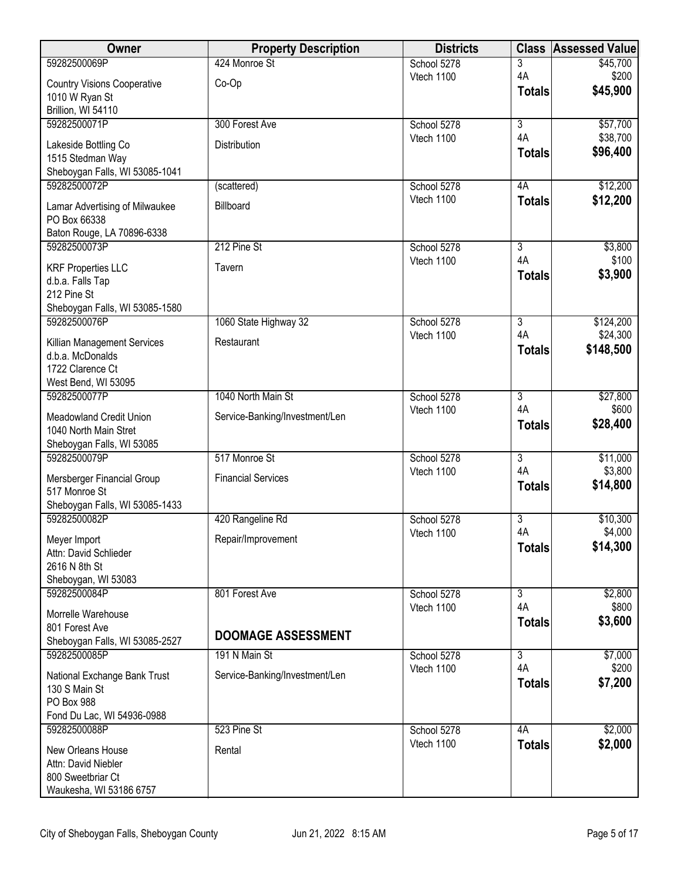| <b>Owner</b>                                   | <b>Property Description</b>    | <b>Districts</b>          |                      | <b>Class Assessed Value</b> |
|------------------------------------------------|--------------------------------|---------------------------|----------------------|-----------------------------|
| 59282500069P                                   | 424 Monroe St                  | School 5278               | 3                    | \$45,700                    |
| <b>Country Visions Cooperative</b>             | $Co-Op$                        | Vtech 1100                | 4A                   | \$200                       |
| 1010 W Ryan St                                 |                                |                           | <b>Totals</b>        | \$45,900                    |
| Brillion, WI 54110                             |                                |                           |                      |                             |
| 59282500071P                                   | 300 Forest Ave                 | School 5278               | $\overline{3}$<br>4A | \$57,700                    |
| Lakeside Bottling Co                           | Distribution                   | Vtech 1100                |                      | \$38,700<br>\$96,400        |
| 1515 Stedman Way                               |                                |                           | <b>Totals</b>        |                             |
| Sheboygan Falls, WI 53085-1041                 |                                |                           |                      |                             |
| 59282500072P                                   | (scattered)                    | School 5278<br>Vtech 1100 | 4A                   | \$12,200                    |
| Lamar Advertising of Milwaukee                 | Billboard                      |                           | <b>Totals</b>        | \$12,200                    |
| PO Box 66338                                   |                                |                           |                      |                             |
| Baton Rouge, LA 70896-6338<br>59282500073P     | 212 Pine St                    | School 5278               | $\overline{3}$       | \$3,800                     |
|                                                |                                | Vtech 1100                | 4A                   | \$100                       |
| <b>KRF Properties LLC</b>                      | Tavern                         |                           | <b>Totals</b>        | \$3,900                     |
| d.b.a. Falls Tap<br>212 Pine St                |                                |                           |                      |                             |
| Sheboygan Falls, WI 53085-1580                 |                                |                           |                      |                             |
| 59282500076P                                   | 1060 State Highway 32          | School 5278               | 3                    | \$124,200                   |
| Killian Management Services                    | Restaurant                     | Vtech 1100                | 4A                   | \$24,300                    |
| d.b.a. McDonalds                               |                                |                           | <b>Totals</b>        | \$148,500                   |
| 1722 Clarence Ct                               |                                |                           |                      |                             |
| West Bend, WI 53095                            |                                |                           |                      |                             |
| 59282500077P                                   | 1040 North Main St             | School 5278               | $\overline{3}$       | \$27,800                    |
| <b>Meadowland Credit Union</b>                 | Service-Banking/Investment/Len | Vtech 1100                | 4A                   | \$600                       |
| 1040 North Main Stret                          |                                |                           | <b>Totals</b>        | \$28,400                    |
| Sheboygan Falls, WI 53085                      |                                |                           |                      |                             |
| 59282500079P                                   | 517 Monroe St                  | School 5278               | $\overline{3}$<br>4A | \$11,000<br>\$3,800         |
| Mersberger Financial Group                     | <b>Financial Services</b>      | Vtech 1100                | <b>Totals</b>        | \$14,800                    |
| 517 Monroe St                                  |                                |                           |                      |                             |
| Sheboygan Falls, WI 53085-1433<br>59282500082P |                                |                           | $\overline{3}$       |                             |
|                                                | 420 Rangeline Rd               | School 5278<br>Vtech 1100 | 4A                   | \$10,300<br>\$4,000         |
| Meyer Import                                   | Repair/Improvement             |                           | <b>Totals</b>        | \$14,300                    |
| Attn: David Schlieder<br>2616 N 8th St         |                                |                           |                      |                             |
| Sheboygan, WI 53083                            |                                |                           |                      |                             |
| 59282500084P                                   | 801 Forest Ave                 | School 5278               | $\overline{3}$       | \$2,800                     |
| Morrelle Warehouse                             |                                | Vtech 1100                | 4A                   | \$800                       |
| 801 Forest Ave                                 |                                |                           | <b>Totals</b>        | \$3,600                     |
| Sheboygan Falls, WI 53085-2527                 | <b>DOOMAGE ASSESSMENT</b>      |                           |                      |                             |
| 59282500085P                                   | 191 N Main St                  | School 5278               | 3                    | \$7,000                     |
| National Exchange Bank Trust                   | Service-Banking/Investment/Len | Vtech 1100                | 4A                   | \$200                       |
| 130 S Main St                                  |                                |                           | <b>Totals</b>        | \$7,200                     |
| PO Box 988                                     |                                |                           |                      |                             |
| Fond Du Lac, WI 54936-0988                     |                                |                           |                      |                             |
| 59282500088P                                   | 523 Pine St                    | School 5278               | 4A                   | \$2,000                     |
| New Orleans House                              | Rental                         | Vtech 1100                | <b>Totals</b>        | \$2,000                     |
| Attn: David Niebler                            |                                |                           |                      |                             |
| 800 Sweetbriar Ct<br>Waukesha, WI 53186 6757   |                                |                           |                      |                             |
|                                                |                                |                           |                      |                             |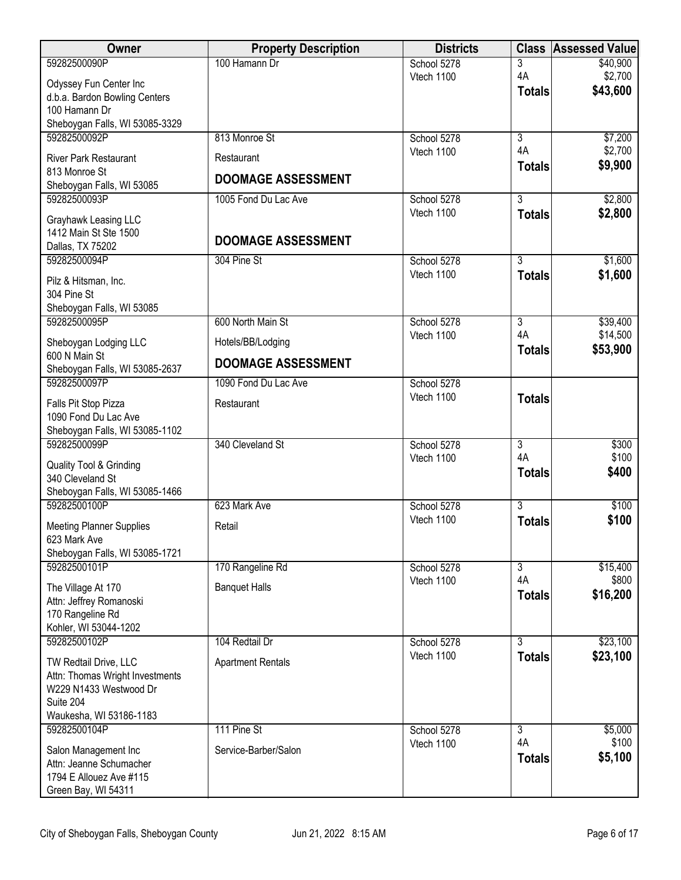| <b>Owner</b>                                       | <b>Property Description</b> | <b>Districts</b>          |                      | <b>Class Assessed Value</b> |
|----------------------------------------------------|-----------------------------|---------------------------|----------------------|-----------------------------|
| 59282500090P                                       | 100 Hamann Dr               | School 5278               | 3                    | \$40,900                    |
| Odyssey Fun Center Inc                             |                             | Vtech 1100                | 4A<br><b>Totals</b>  | \$2,700<br>\$43,600         |
| d.b.a. Bardon Bowling Centers                      |                             |                           |                      |                             |
| 100 Hamann Dr<br>Sheboygan Falls, WI 53085-3329    |                             |                           |                      |                             |
| 59282500092P                                       | 813 Monroe St               | School 5278               | 3                    | \$7,200                     |
| <b>River Park Restaurant</b>                       | Restaurant                  | Vtech 1100                | 4A                   | \$2,700                     |
| 813 Monroe St                                      |                             |                           | <b>Totals</b>        | \$9,900                     |
| Sheboygan Falls, WI 53085                          | <b>DOOMAGE ASSESSMENT</b>   |                           |                      |                             |
| 59282500093P                                       | 1005 Fond Du Lac Ave        | School 5278               | $\overline{3}$       | \$2,800                     |
| Grayhawk Leasing LLC                               |                             | Vtech 1100                | <b>Totals</b>        | \$2,800                     |
| 1412 Main St Ste 1500                              | <b>DOOMAGE ASSESSMENT</b>   |                           |                      |                             |
| Dallas, TX 75202<br>59282500094P                   | 304 Pine St                 | School 5278               | $\overline{3}$       | \$1,600                     |
| Pilz & Hitsman, Inc.                               |                             | Vtech 1100                | <b>Totals</b>        | \$1,600                     |
| 304 Pine St                                        |                             |                           |                      |                             |
| Sheboygan Falls, WI 53085                          |                             |                           |                      |                             |
| 59282500095P                                       | 600 North Main St           | School 5278               | $\overline{3}$       | \$39,400                    |
| Sheboygan Lodging LLC<br>600 N Main St             | Hotels/BB/Lodging           | Vtech 1100                | 4A<br><b>Totals</b>  | \$14,500<br>\$53,900        |
| Sheboygan Falls, WI 53085-2637                     | <b>DOOMAGE ASSESSMENT</b>   |                           |                      |                             |
| 59282500097P                                       | 1090 Fond Du Lac Ave        | School 5278               |                      |                             |
| Falls Pit Stop Pizza                               | Restaurant                  | Vtech 1100                | <b>Totals</b>        |                             |
| 1090 Fond Du Lac Ave                               |                             |                           |                      |                             |
| Sheboygan Falls, WI 53085-1102                     |                             |                           |                      |                             |
| 59282500099P                                       | 340 Cleveland St            | School 5278<br>Vtech 1100 | $\overline{3}$<br>4A | \$300<br>\$100              |
| <b>Quality Tool &amp; Grinding</b>                 |                             |                           | <b>Totals</b>        | \$400                       |
| 340 Cleveland St<br>Sheboygan Falls, WI 53085-1466 |                             |                           |                      |                             |
| 59282500100P                                       | 623 Mark Ave                | School 5278               | $\overline{3}$       | \$100                       |
| <b>Meeting Planner Supplies</b>                    | Retail                      | Vtech 1100                | <b>Totals</b>        | \$100                       |
| 623 Mark Ave                                       |                             |                           |                      |                             |
| Sheboygan Falls, WI 53085-1721                     |                             |                           |                      |                             |
| 59282500101P                                       | 170 Rangeline Rd            | School 5278<br>Vtech 1100 | $\overline{3}$<br>4A | \$15,400<br>\$800           |
| The Village At 170                                 | <b>Banquet Halls</b>        |                           | <b>Totals</b>        | \$16,200                    |
| Attn: Jeffrey Romanoski<br>170 Rangeline Rd        |                             |                           |                      |                             |
| Kohler, WI 53044-1202                              |                             |                           |                      |                             |
| 59282500102P                                       | 104 Redtail Dr              | School 5278               | $\overline{3}$       | \$23,100                    |
| TW Redtail Drive, LLC                              | <b>Apartment Rentals</b>    | Vtech 1100                | <b>Totals</b>        | \$23,100                    |
| Attn: Thomas Wright Investments                    |                             |                           |                      |                             |
| W229 N1433 Westwood Dr<br>Suite 204                |                             |                           |                      |                             |
| Waukesha, WI 53186-1183                            |                             |                           |                      |                             |
| 59282500104P                                       | 111 Pine St                 | School 5278               | $\overline{3}$       | \$5,000                     |
| Salon Management Inc                               | Service-Barber/Salon        | Vtech 1100                | 4A                   | \$100                       |
| Attn: Jeanne Schumacher                            |                             |                           | <b>Totals</b>        | \$5,100                     |
| 1794 E Allouez Ave #115                            |                             |                           |                      |                             |
| Green Bay, WI 54311                                |                             |                           |                      |                             |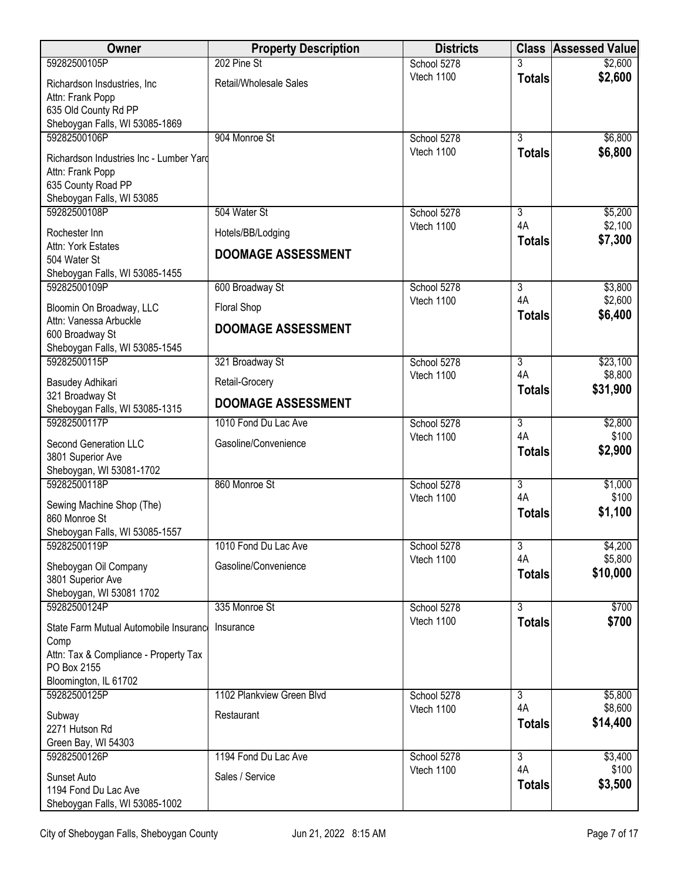| <b>Owner</b>                                                                                                                    | <b>Property Description</b> | <b>Districts</b> |                           | <b>Class Assessed Value</b> |
|---------------------------------------------------------------------------------------------------------------------------------|-----------------------------|------------------|---------------------------|-----------------------------|
| 59282500105P                                                                                                                    | 202 Pine St                 | School 5278      |                           | \$2,600                     |
| Richardson Insdustries, Inc.<br>Attn: Frank Popp<br>635 Old County Rd PP<br>Sheboygan Falls, WI 53085-1869                      | Retail/Wholesale Sales      | Vtech 1100       | <b>Totals</b>             | \$2,600                     |
| 59282500106P                                                                                                                    | 904 Monroe St               | School 5278      | $\overline{3}$            | \$6,800                     |
| Richardson Industries Inc - Lumber Yard<br>Attn: Frank Popp<br>635 County Road PP<br>Sheboygan Falls, WI 53085                  |                             | Vtech 1100       | <b>Totals</b>             | \$6,800                     |
| 59282500108P                                                                                                                    | 504 Water St                | School 5278      | $\overline{3}$<br>4A      | \$5,200                     |
| Rochester Inn                                                                                                                   | Hotels/BB/Lodging           | Vtech 1100       | <b>Totals</b>             | \$2,100<br>\$7,300          |
| Attn: York Estates<br>504 Water St                                                                                              | <b>DOOMAGE ASSESSMENT</b>   |                  |                           |                             |
| Sheboygan Falls, WI 53085-1455<br>59282500109P                                                                                  | 600 Broadway St             | School 5278      | $\overline{3}$            | \$3,800                     |
|                                                                                                                                 |                             | Vtech 1100       | 4A                        | \$2,600                     |
| Bloomin On Broadway, LLC<br>Attn: Vanessa Arbuckle                                                                              | Floral Shop                 |                  | <b>Totals</b>             | \$6,400                     |
| 600 Broadway St<br>Sheboygan Falls, WI 53085-1545                                                                               | <b>DOOMAGE ASSESSMENT</b>   |                  |                           |                             |
| 59282500115P                                                                                                                    | 321 Broadway St             | School 5278      | 3                         | \$23,100                    |
| Basudey Adhikari<br>321 Broadway St                                                                                             | Retail-Grocery              | Vtech 1100       | 4A<br><b>Totals</b>       | \$8,800<br>\$31,900         |
| Sheboygan Falls, WI 53085-1315                                                                                                  | <b>DOOMAGE ASSESSMENT</b>   |                  |                           |                             |
| 59282500117P                                                                                                                    | 1010 Fond Du Lac Ave        | School 5278      | $\overline{3}$            | \$2,800                     |
| Second Generation LLC<br>3801 Superior Ave<br>Sheboygan, WI 53081-1702                                                          | Gasoline/Convenience        | Vtech 1100       | 4A<br><b>Totals</b>       | \$100<br>\$2,900            |
| 59282500118P                                                                                                                    | 860 Monroe St               | School 5278      | $\overline{\overline{3}}$ | \$1,000                     |
| Sewing Machine Shop (The)<br>860 Monroe St<br>Sheboygan Falls, WI 53085-1557                                                    |                             | Vtech 1100       | 4A<br><b>Totals</b>       | \$100<br>\$1,100            |
| 59282500119P                                                                                                                    | 1010 Fond Du Lac Ave        | School 5278      | 3                         | \$4,200                     |
| Sheboygan Oil Company<br>3801 Superior Ave<br>Sheboygan, WI 53081 1702                                                          | Gasoline/Convenience        | Vtech 1100       | 4A<br><b>Totals</b>       | \$5,800<br>\$10,000         |
| 59282500124P                                                                                                                    | 335 Monroe St               | School 5278      | $\overline{3}$            | \$700                       |
| State Farm Mutual Automobile Insurance<br>Comp<br>Attn: Tax & Compliance - Property Tax<br>PO Box 2155<br>Bloomington, IL 61702 | Insurance                   | Vtech 1100       | <b>Totals</b>             | \$700                       |
| 59282500125P                                                                                                                    | 1102 Plankview Green Blvd   | School 5278      | $\overline{3}$            | \$5,800                     |
| Subway<br>2271 Hutson Rd<br>Green Bay, WI 54303                                                                                 | Restaurant                  | Vtech 1100       | 4A<br><b>Totals</b>       | \$8,600<br>\$14,400         |
| 59282500126P                                                                                                                    | 1194 Fond Du Lac Ave        | School 5278      | $\overline{3}$            | \$3,400                     |
| Sunset Auto<br>1194 Fond Du Lac Ave<br>Sheboygan Falls, WI 53085-1002                                                           | Sales / Service             | Vtech 1100       | 4A<br><b>Totals</b>       | \$100<br>\$3,500            |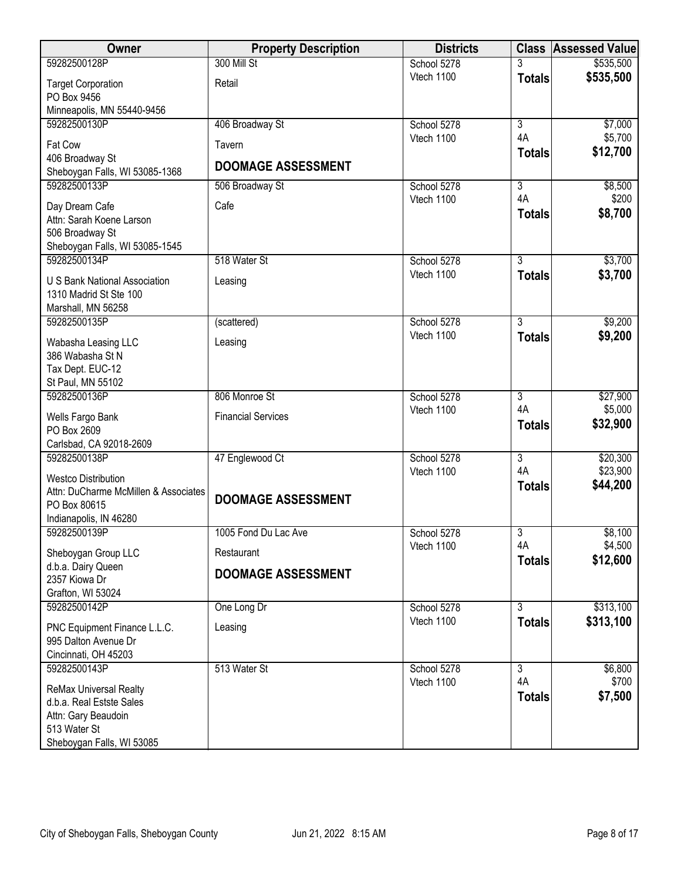| <b>Owner</b>                                              | <b>Property Description</b> | <b>Districts</b>          | <b>Class</b>         | <b>Assessed Value</b> |
|-----------------------------------------------------------|-----------------------------|---------------------------|----------------------|-----------------------|
| 59282500128P                                              | 300 Mill St                 | School 5278               |                      | \$535,500             |
| <b>Target Corporation</b><br>PO Box 9456                  | Retail                      | Vtech 1100                | <b>Totals</b>        | \$535,500             |
| Minneapolis, MN 55440-9456                                |                             |                           |                      |                       |
| 59282500130P                                              | 406 Broadway St             | School 5278               | $\overline{3}$       | \$7,000               |
| Fat Cow<br>406 Broadway St                                | Tavern                      | Vtech 1100                | 4A<br><b>Totals</b>  | \$5,700<br>\$12,700   |
| Sheboygan Falls, WI 53085-1368                            | <b>DOOMAGE ASSESSMENT</b>   |                           |                      |                       |
| 59282500133P                                              | 506 Broadway St             | School 5278               | 3                    | \$8,500               |
| Day Dream Cafe                                            | Cafe                        | Vtech 1100                | 4A                   | \$200                 |
| Attn: Sarah Koene Larson                                  |                             |                           | <b>Totals</b>        | \$8,700               |
| 506 Broadway St                                           |                             |                           |                      |                       |
| Sheboygan Falls, WI 53085-1545<br>59282500134P            |                             |                           | $\overline{3}$       |                       |
|                                                           | 518 Water St                | School 5278<br>Vtech 1100 | <b>Totals</b>        | \$3,700<br>\$3,700    |
| U S Bank National Association                             | Leasing                     |                           |                      |                       |
| 1310 Madrid St Ste 100<br>Marshall, MN 56258              |                             |                           |                      |                       |
| 59282500135P                                              | (scattered)                 | School 5278               | $\overline{3}$       | \$9,200               |
|                                                           |                             | Vtech 1100                | <b>Totals</b>        | \$9,200               |
| Wabasha Leasing LLC<br>386 Wabasha St N                   | Leasing                     |                           |                      |                       |
| Tax Dept. EUC-12                                          |                             |                           |                      |                       |
| St Paul, MN 55102                                         |                             |                           |                      |                       |
| 59282500136P                                              | 806 Monroe St               | School 5278               | $\overline{3}$       | \$27,900              |
| Wells Fargo Bank                                          | <b>Financial Services</b>   | Vtech 1100                | 4A                   | \$5,000               |
| PO Box 2609                                               |                             |                           | <b>Totals</b>        | \$32,900              |
| Carlsbad, CA 92018-2609                                   |                             |                           |                      |                       |
| 59282500138P                                              | 47 Englewood Ct             | School 5278<br>Vtech 1100 | $\overline{3}$<br>4A | \$20,300<br>\$23,900  |
| <b>Westco Distribution</b>                                |                             |                           | <b>Totals</b>        | \$44,200              |
| Attn: DuCharme McMillen & Associates<br>PO Box 80615      | <b>DOOMAGE ASSESSMENT</b>   |                           |                      |                       |
| Indianapolis, IN 46280                                    |                             |                           |                      |                       |
| 59282500139P                                              | 1005 Fond Du Lac Ave        | School 5278               | 3                    | \$8,100               |
| Sheboygan Group LLC                                       | Restaurant                  | Vtech 1100                | 4A                   | \$4,500               |
| d.b.a. Dairy Queen                                        | <b>DOOMAGE ASSESSMENT</b>   |                           | <b>Totals</b>        | \$12,600              |
| 2357 Kiowa Dr                                             |                             |                           |                      |                       |
| Grafton, WI 53024<br>59282500142P                         | One Long Dr                 | School 5278               | $\overline{3}$       | \$313,100             |
|                                                           |                             | Vtech 1100                | <b>Totals</b>        | \$313,100             |
| PNC Equipment Finance L.L.C.                              | Leasing                     |                           |                      |                       |
| 995 Dalton Avenue Dr<br>Cincinnati, OH 45203              |                             |                           |                      |                       |
| 59282500143P                                              | 513 Water St                | School 5278               | $\overline{3}$       | \$6,800               |
|                                                           |                             | Vtech 1100                | 4A                   | \$700                 |
| <b>ReMax Universal Realty</b><br>d.b.a. Real Estste Sales |                             |                           | <b>Totals</b>        | \$7,500               |
| Attn: Gary Beaudoin                                       |                             |                           |                      |                       |
| 513 Water St                                              |                             |                           |                      |                       |
| Sheboygan Falls, WI 53085                                 |                             |                           |                      |                       |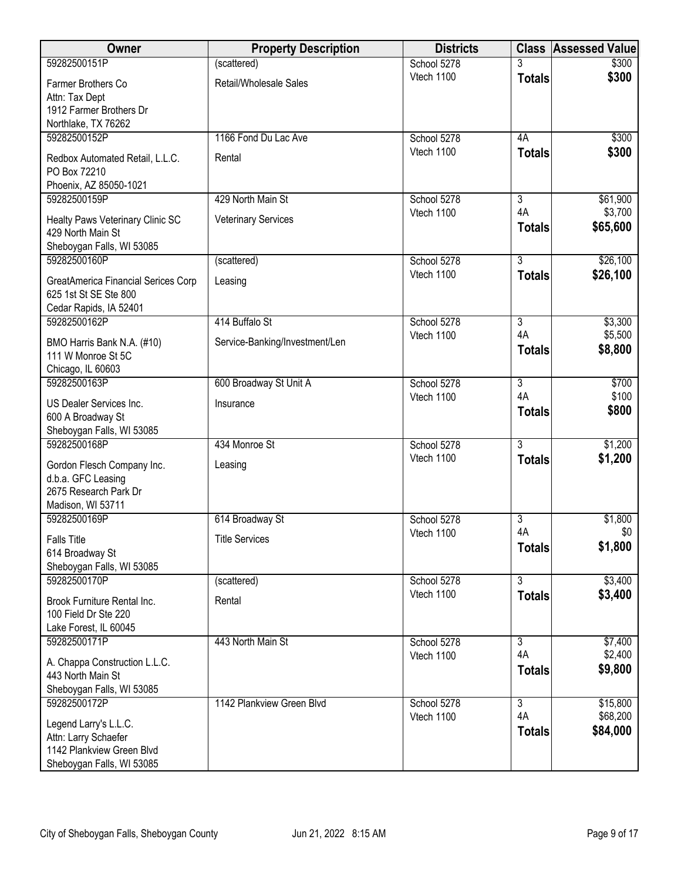| Owner                                                 | <b>Property Description</b>    | <b>Districts</b> | <b>Class</b>   | <b>Assessed Value</b> |
|-------------------------------------------------------|--------------------------------|------------------|----------------|-----------------------|
| 59282500151P                                          | (scattered)                    | School 5278      |                | \$300                 |
| Farmer Brothers Co                                    | Retail/Wholesale Sales         | Vtech 1100       | <b>Totals</b>  | \$300                 |
| Attn: Tax Dept                                        |                                |                  |                |                       |
| 1912 Farmer Brothers Dr                               |                                |                  |                |                       |
| Northlake, TX 76262                                   |                                |                  |                |                       |
| 59282500152P                                          | 1166 Fond Du Lac Ave           | School 5278      | 4A             | \$300                 |
| Redbox Automated Retail, L.L.C.                       | Rental                         | Vtech 1100       | <b>Totals</b>  | \$300                 |
| PO Box 72210                                          |                                |                  |                |                       |
| Phoenix, AZ 85050-1021                                |                                |                  |                |                       |
| 59282500159P                                          | 429 North Main St              | School 5278      | 3              | \$61,900              |
|                                                       |                                | Vtech 1100       | 4A             | \$3,700               |
| Healty Paws Veterinary Clinic SC<br>429 North Main St | <b>Veterinary Services</b>     |                  | <b>Totals</b>  | \$65,600              |
| Sheboygan Falls, WI 53085                             |                                |                  |                |                       |
| 59282500160P                                          | (scattered)                    | School 5278      | $\overline{3}$ | \$26,100              |
|                                                       |                                | Vtech 1100       | <b>Totals</b>  | \$26,100              |
| GreatAmerica Financial Serices Corp                   | Leasing                        |                  |                |                       |
| 625 1st St SE Ste 800                                 |                                |                  |                |                       |
| Cedar Rapids, IA 52401                                |                                |                  |                |                       |
| 59282500162P                                          | 414 Buffalo St                 | School 5278      | 3<br>4A        | \$3,300               |
| BMO Harris Bank N.A. (#10)                            | Service-Banking/Investment/Len | Vtech 1100       |                | \$5,500               |
| 111 W Monroe St 5C                                    |                                |                  | <b>Totals</b>  | \$8,800               |
| Chicago, IL 60603                                     |                                |                  |                |                       |
| 59282500163P                                          | 600 Broadway St Unit A         | School 5278      | $\overline{3}$ | \$700                 |
| US Dealer Services Inc.                               | Insurance                      | Vtech 1100       | 4A             | \$100                 |
| 600 A Broadway St                                     |                                |                  | <b>Totals</b>  | \$800                 |
| Sheboygan Falls, WI 53085                             |                                |                  |                |                       |
| 59282500168P                                          | 434 Monroe St                  | School 5278      | $\overline{3}$ | \$1,200               |
|                                                       |                                | Vtech 1100       | <b>Totals</b>  | \$1,200               |
| Gordon Flesch Company Inc.<br>d.b.a. GFC Leasing      | Leasing                        |                  |                |                       |
| 2675 Research Park Dr                                 |                                |                  |                |                       |
| Madison, WI 53711                                     |                                |                  |                |                       |
| 59282500169P                                          | 614 Broadway St                | School 5278      | 3              | \$1,800               |
|                                                       |                                | Vtech 1100       | 4A             | \$0                   |
| <b>Falls Title</b>                                    | <b>Title Services</b>          |                  | <b>Totals</b>  | \$1,800               |
| 614 Broadway St<br>Sheboygan Falls, WI 53085          |                                |                  |                |                       |
| 59282500170P                                          | (scattered)                    | School 5278      | $\overline{3}$ | \$3,400               |
|                                                       |                                | Vtech 1100       | <b>Totals</b>  | \$3,400               |
| Brook Furniture Rental Inc.                           | Rental                         |                  |                |                       |
| 100 Field Dr Ste 220                                  |                                |                  |                |                       |
| Lake Forest, IL 60045                                 |                                |                  |                |                       |
| 59282500171P                                          | 443 North Main St              | School 5278      | $\overline{3}$ | \$7,400               |
| A. Chappa Construction L.L.C.                         |                                | Vtech 1100       | 4A             | \$2,400               |
| 443 North Main St                                     |                                |                  | <b>Totals</b>  | \$9,800               |
| Sheboygan Falls, WI 53085                             |                                |                  |                |                       |
| 59282500172P                                          | 1142 Plankview Green Blvd      | School 5278      | $\overline{3}$ | \$15,800              |
| Legend Larry's L.L.C.                                 |                                | Vtech 1100       | 4A             | \$68,200              |
| Attn: Larry Schaefer                                  |                                |                  | <b>Totals</b>  | \$84,000              |
| 1142 Plankview Green Blvd                             |                                |                  |                |                       |
| Sheboygan Falls, WI 53085                             |                                |                  |                |                       |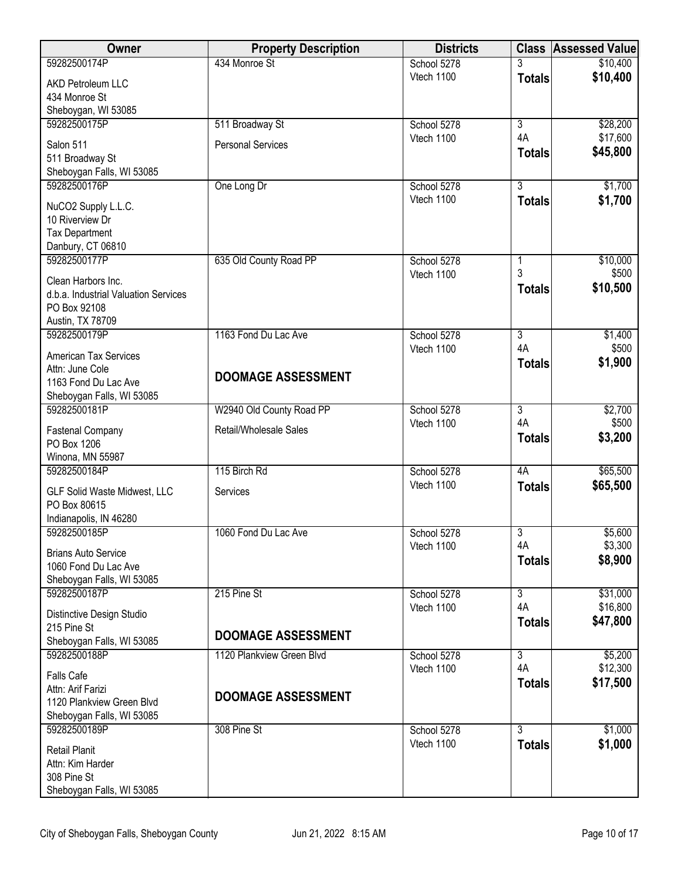| Owner                                          | <b>Property Description</b> | <b>Districts</b>          | <b>Class</b>         | <b>Assessed Value</b> |
|------------------------------------------------|-----------------------------|---------------------------|----------------------|-----------------------|
| 59282500174P                                   | 434 Monroe St               | School 5278               |                      | \$10,400              |
| <b>AKD Petroleum LLC</b>                       |                             | Vtech 1100                | <b>Totals</b>        | \$10,400              |
| 434 Monroe St                                  |                             |                           |                      |                       |
| Sheboygan, WI 53085                            |                             |                           |                      |                       |
| 59282500175P                                   | 511 Broadway St             | School 5278               | $\overline{3}$<br>4A | \$28,200              |
| Salon 511                                      | <b>Personal Services</b>    | Vtech 1100                |                      | \$17,600              |
| 511 Broadway St                                |                             |                           | <b>Totals</b>        | \$45,800              |
| Sheboygan Falls, WI 53085                      |                             |                           |                      |                       |
| 59282500176P                                   | One Long Dr                 | School 5278               | $\overline{3}$       | \$1,700               |
| NuCO2 Supply L.L.C.                            |                             | Vtech 1100                | <b>Totals</b>        | \$1,700               |
| 10 Riverview Dr                                |                             |                           |                      |                       |
| <b>Tax Department</b>                          |                             |                           |                      |                       |
| Danbury, CT 06810                              |                             |                           |                      |                       |
| 59282500177P                                   | 635 Old County Road PP      | School 5278               | 1<br>3               | \$10,000<br>\$500     |
| Clean Harbors Inc.                             |                             | Vtech 1100                | <b>Totals</b>        | \$10,500              |
| d.b.a. Industrial Valuation Services           |                             |                           |                      |                       |
| PO Box 92108                                   |                             |                           |                      |                       |
| Austin, TX 78709                               |                             |                           |                      |                       |
| 59282500179P                                   | 1163 Fond Du Lac Ave        | School 5278<br>Vtech 1100 | 3<br>4A              | \$1,400<br>\$500      |
| <b>American Tax Services</b>                   |                             |                           | <b>Totals</b>        | \$1,900               |
| Attn: June Cole                                | <b>DOOMAGE ASSESSMENT</b>   |                           |                      |                       |
| 1163 Fond Du Lac Ave                           |                             |                           |                      |                       |
| Sheboygan Falls, WI 53085<br>59282500181P      | W2940 Old County Road PP    | School 5278               | $\overline{3}$       | \$2,700               |
|                                                |                             | Vtech 1100                | 4A                   | \$500                 |
| <b>Fastenal Company</b>                        | Retail/Wholesale Sales      |                           | <b>Totals</b>        | \$3,200               |
| PO Box 1206                                    |                             |                           |                      |                       |
| Winona, MN 55987<br>59282500184P               | 115 Birch Rd                | School 5278               | 4A                   | \$65,500              |
|                                                |                             | Vtech 1100                | <b>Totals</b>        | \$65,500              |
| GLF Solid Waste Midwest, LLC                   | Services                    |                           |                      |                       |
| PO Box 80615                                   |                             |                           |                      |                       |
| Indianapolis, IN 46280<br>59282500185P         | 1060 Fond Du Lac Ave        | School 5278               | 3                    | \$5,600               |
|                                                |                             | Vtech 1100                | 4A                   | \$3,300               |
| <b>Brians Auto Service</b>                     |                             |                           | <b>Totals</b>        | \$8,900               |
| 1060 Fond Du Lac Ave                           |                             |                           |                      |                       |
| Sheboygan Falls, WI 53085<br>59282500187P      | 215 Pine St                 | School 5278               | 3                    | \$31,000              |
|                                                |                             | Vtech 1100                | 4A                   | \$16,800              |
| Distinctive Design Studio                      |                             |                           | <b>Totals</b>        | \$47,800              |
| 215 Pine St<br>Sheboygan Falls, WI 53085       | <b>DOOMAGE ASSESSMENT</b>   |                           |                      |                       |
| 59282500188P                                   | 1120 Plankview Green Blvd   | School 5278               | 3                    | \$5,200               |
|                                                |                             | Vtech 1100                | 4A                   | \$12,300              |
| <b>Falls Cafe</b>                              |                             |                           | <b>Totals</b>        | \$17,500              |
| Attn: Arif Farizi<br>1120 Plankview Green Blvd | <b>DOOMAGE ASSESSMENT</b>   |                           |                      |                       |
| Sheboygan Falls, WI 53085                      |                             |                           |                      |                       |
| 59282500189P                                   | 308 Pine St                 | School 5278               | $\overline{3}$       | \$1,000               |
|                                                |                             | Vtech 1100                | <b>Totals</b>        | \$1,000               |
| <b>Retail Planit</b><br>Attn: Kim Harder       |                             |                           |                      |                       |
| 308 Pine St                                    |                             |                           |                      |                       |
| Sheboygan Falls, WI 53085                      |                             |                           |                      |                       |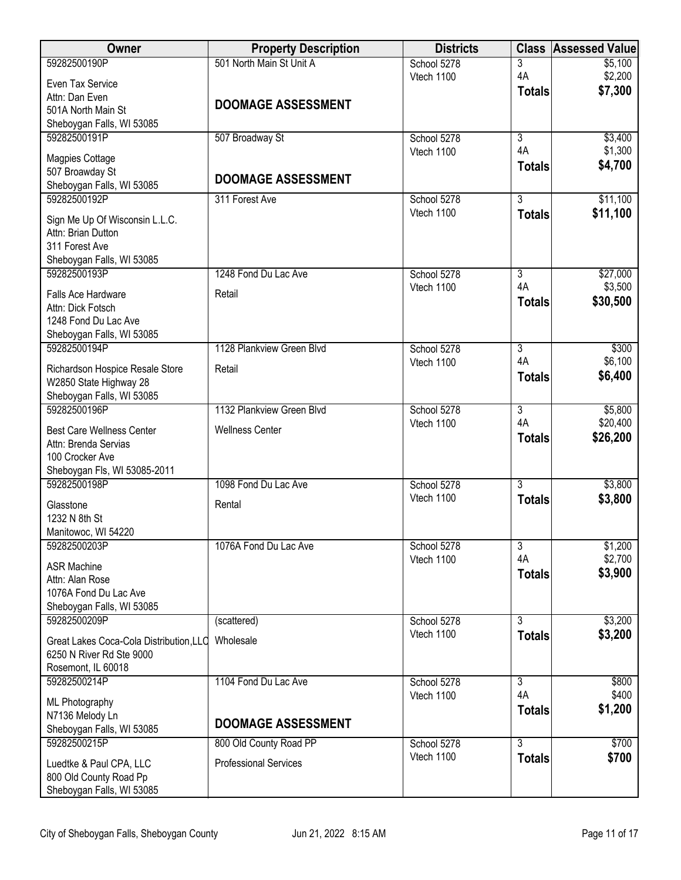| Owner                                                               | <b>Property Description</b>  | <b>Districts</b>          | <b>Class</b>         | <b>Assessed Value</b> |
|---------------------------------------------------------------------|------------------------------|---------------------------|----------------------|-----------------------|
| 59282500190P                                                        | 501 North Main St Unit A     | School 5278               | 3                    | \$5,100               |
| Even Tax Service                                                    |                              | Vtech 1100                | 4A                   | \$2,200               |
| Attn: Dan Even                                                      | <b>DOOMAGE ASSESSMENT</b>    |                           | <b>Totals</b>        | \$7,300               |
| 501A North Main St                                                  |                              |                           |                      |                       |
| Sheboygan Falls, WI 53085                                           |                              |                           |                      |                       |
| 59282500191P                                                        | 507 Broadway St              | School 5278               | $\overline{3}$<br>4A | \$3,400               |
| Magpies Cottage                                                     |                              | Vtech 1100                |                      | \$1,300               |
| 507 Broawday St                                                     | <b>DOOMAGE ASSESSMENT</b>    |                           | <b>Totals</b>        | \$4,700               |
| Sheboygan Falls, WI 53085                                           |                              |                           |                      |                       |
| 59282500192P                                                        | 311 Forest Ave               | School 5278               | $\overline{3}$       | \$11,100              |
| Sign Me Up Of Wisconsin L.L.C.                                      |                              | Vtech 1100                | <b>Totals</b>        | \$11,100              |
| Attn: Brian Dutton                                                  |                              |                           |                      |                       |
| 311 Forest Ave                                                      |                              |                           |                      |                       |
| Sheboygan Falls, WI 53085                                           |                              |                           |                      |                       |
| 59282500193P                                                        | 1248 Fond Du Lac Ave         | School 5278<br>Vtech 1100 | $\overline{3}$<br>4A | \$27,000<br>\$3,500   |
| Falls Ace Hardware                                                  | Retail                       |                           | <b>Totals</b>        | \$30,500              |
| Attn: Dick Fotsch                                                   |                              |                           |                      |                       |
| 1248 Fond Du Lac Ave                                                |                              |                           |                      |                       |
| Sheboygan Falls, WI 53085<br>59282500194P                           | 1128 Plankview Green Blvd    | School 5278               |                      | \$300                 |
|                                                                     |                              | Vtech 1100                | 3<br>4A              | \$6,100               |
| Richardson Hospice Resale Store                                     | Retail                       |                           | <b>Totals</b>        | \$6,400               |
| W2850 State Highway 28                                              |                              |                           |                      |                       |
| Sheboygan Falls, WI 53085<br>59282500196P                           | 1132 Plankview Green Blvd    | School 5278               | $\overline{3}$       | \$5,800               |
|                                                                     |                              | Vtech 1100                | 4A                   | \$20,400              |
| <b>Best Care Wellness Center</b>                                    | <b>Wellness Center</b>       |                           | <b>Totals</b>        | \$26,200              |
| Attn: Brenda Servias                                                |                              |                           |                      |                       |
| 100 Crocker Ave<br>Sheboygan Fls, WI 53085-2011                     |                              |                           |                      |                       |
| 59282500198P                                                        | 1098 Fond Du Lac Ave         | School 5278               | $\overline{3}$       | \$3,800               |
|                                                                     |                              | Vtech 1100                | <b>Totals</b>        | \$3,800               |
| Glasstone                                                           | Rental                       |                           |                      |                       |
| 1232 N 8th St<br>Manitowoc, WI 54220                                |                              |                           |                      |                       |
| 59282500203P                                                        | 1076A Fond Du Lac Ave        | School 5278               | 3                    | \$1,200               |
|                                                                     |                              | Vtech 1100                | 4A                   | \$2,700               |
| <b>ASR Machine</b>                                                  |                              |                           | <b>Totals</b>        | \$3,900               |
| Attn: Alan Rose                                                     |                              |                           |                      |                       |
| 1076A Fond Du Lac Ave<br>Sheboygan Falls, WI 53085                  |                              |                           |                      |                       |
| 59282500209P                                                        | (scattered)                  | School 5278               | $\overline{3}$       | \$3,200               |
|                                                                     |                              | Vtech 1100                | <b>Totals</b>        | \$3,200               |
| Great Lakes Coca-Cola Distribution, LLC<br>6250 N River Rd Ste 9000 | Wholesale                    |                           |                      |                       |
| Rosemont, IL 60018                                                  |                              |                           |                      |                       |
| 59282500214P                                                        | 1104 Fond Du Lac Ave         | School 5278               | $\overline{3}$       | \$800                 |
|                                                                     |                              | Vtech 1100                | 4A                   | \$400                 |
| ML Photography<br>N7136 Melody Ln                                   |                              |                           | <b>Totals</b>        | \$1,200               |
| Sheboygan Falls, WI 53085                                           | <b>DOOMAGE ASSESSMENT</b>    |                           |                      |                       |
| 59282500215P                                                        | 800 Old County Road PP       | School 5278               | $\overline{3}$       | \$700                 |
|                                                                     |                              | Vtech 1100                | <b>Totals</b>        | \$700                 |
| Luedtke & Paul CPA, LLC<br>800 Old County Road Pp                   | <b>Professional Services</b> |                           |                      |                       |
| Sheboygan Falls, WI 53085                                           |                              |                           |                      |                       |
|                                                                     |                              |                           |                      |                       |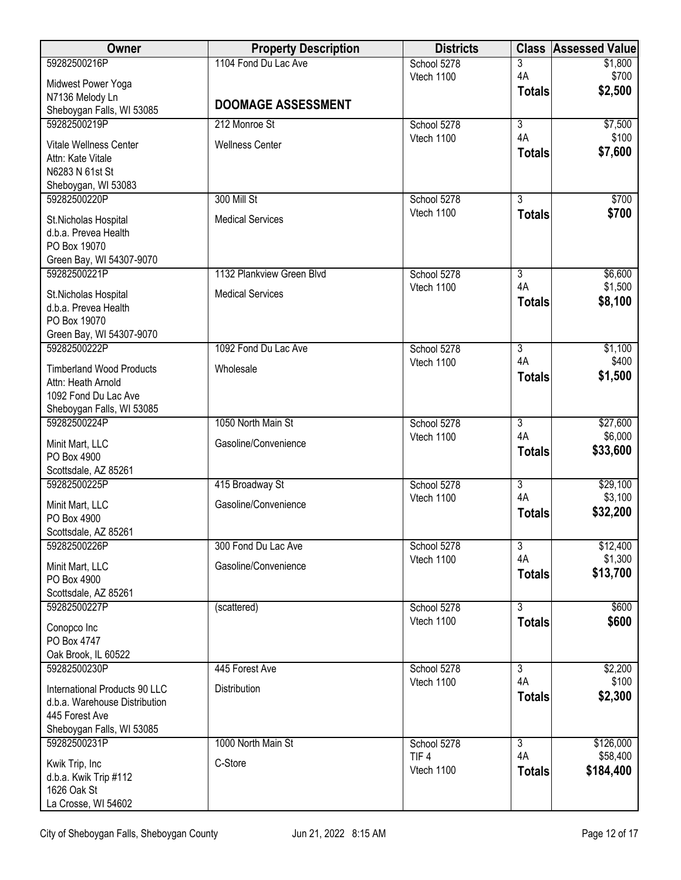| Owner                                        | <b>Property Description</b> | <b>Districts</b>          | <b>Class</b>              | <b>Assessed Value</b> |
|----------------------------------------------|-----------------------------|---------------------------|---------------------------|-----------------------|
| 59282500216P                                 | 1104 Fond Du Lac Ave        | School 5278               | 3                         | \$1,800               |
| Midwest Power Yoga                           |                             | Vtech 1100                | 4A                        | \$700                 |
| N7136 Melody Ln                              | <b>DOOMAGE ASSESSMENT</b>   |                           | <b>Totals</b>             | \$2,500               |
| Sheboygan Falls, WI 53085                    |                             |                           |                           |                       |
| 59282500219P                                 | 212 Monroe St               | School 5278               | $\overline{3}$            | \$7,500               |
| Vitale Wellness Center                       | <b>Wellness Center</b>      | Vtech 1100                | 4A                        | \$100                 |
| Attn: Kate Vitale                            |                             |                           | <b>Totals</b>             | \$7,600               |
| N6283 N 61st St                              |                             |                           |                           |                       |
| Sheboygan, WI 53083<br>59282500220P          | 300 Mill St                 |                           | $\overline{3}$            |                       |
|                                              |                             | School 5278<br>Vtech 1100 |                           | \$700<br>\$700        |
| St.Nicholas Hospital                         | <b>Medical Services</b>     |                           | <b>Totals</b>             |                       |
| d.b.a. Prevea Health                         |                             |                           |                           |                       |
| PO Box 19070<br>Green Bay, WI 54307-9070     |                             |                           |                           |                       |
| 59282500221P                                 | 1132 Plankview Green Blvd   | School 5278               | $\overline{3}$            | \$6,600               |
|                                              |                             | Vtech 1100                | 4A                        | \$1,500               |
| St.Nicholas Hospital<br>d.b.a. Prevea Health | <b>Medical Services</b>     |                           | <b>Totals</b>             | \$8,100               |
| PO Box 19070                                 |                             |                           |                           |                       |
| Green Bay, WI 54307-9070                     |                             |                           |                           |                       |
| 59282500222P                                 | 1092 Fond Du Lac Ave        | School 5278               | $\overline{3}$            | \$1,100               |
| <b>Timberland Wood Products</b>              | Wholesale                   | Vtech 1100                | 4A                        | \$400                 |
| Attn: Heath Arnold                           |                             |                           | <b>Totals</b>             | \$1,500               |
| 1092 Fond Du Lac Ave                         |                             |                           |                           |                       |
| Sheboygan Falls, WI 53085                    |                             |                           |                           |                       |
| 59282500224P                                 | 1050 North Main St          | School 5278               | $\overline{3}$            | \$27,600              |
| Minit Mart, LLC                              | Gasoline/Convenience        | Vtech 1100                | 4A                        | \$6,000               |
| PO Box 4900                                  |                             |                           | <b>Totals</b>             | \$33,600              |
| Scottsdale, AZ 85261                         |                             |                           |                           |                       |
| 59282500225P                                 | 415 Broadway St             | School 5278               | $\overline{\overline{3}}$ | \$29,100              |
| Minit Mart, LLC                              | Gasoline/Convenience        | Vtech 1100                | 4A                        | \$3,100               |
| PO Box 4900                                  |                             |                           | <b>Totals</b>             | \$32,200              |
| Scottsdale, AZ 85261                         |                             |                           |                           |                       |
| 59282500226P                                 | 300 Fond Du Lac Ave         | School 5278               | 3                         | \$12,400              |
| Minit Mart, LLC                              | Gasoline/Convenience        | Vtech 1100                | 4A                        | \$1,300<br>\$13,700   |
| PO Box 4900                                  |                             |                           | <b>Totals</b>             |                       |
| Scottsdale, AZ 85261                         |                             |                           |                           |                       |
| 59282500227P                                 | (scattered)                 | School 5278<br>Vtech 1100 | $\overline{3}$            | \$600                 |
| Conopco Inc                                  |                             |                           | <b>Totals</b>             | \$600                 |
| PO Box 4747                                  |                             |                           |                           |                       |
| Oak Brook, IL 60522<br>59282500230P          | 445 Forest Ave              | School 5278               | $\overline{3}$            | \$2,200               |
|                                              |                             | Vtech 1100                | 4A                        | \$100                 |
| International Products 90 LLC                | Distribution                |                           | <b>Totals</b>             | \$2,300               |
| d.b.a. Warehouse Distribution                |                             |                           |                           |                       |
| 445 Forest Ave<br>Sheboygan Falls, WI 53085  |                             |                           |                           |                       |
| 59282500231P                                 | 1000 North Main St          | School 5278               | $\overline{3}$            | \$126,000             |
|                                              |                             | TIF <sub>4</sub>          | 4A                        | \$58,400              |
| Kwik Trip, Inc<br>d.b.a. Kwik Trip #112      | C-Store                     | Vtech 1100                | <b>Totals</b>             | \$184,400             |
| 1626 Oak St                                  |                             |                           |                           |                       |
| La Crosse, WI 54602                          |                             |                           |                           |                       |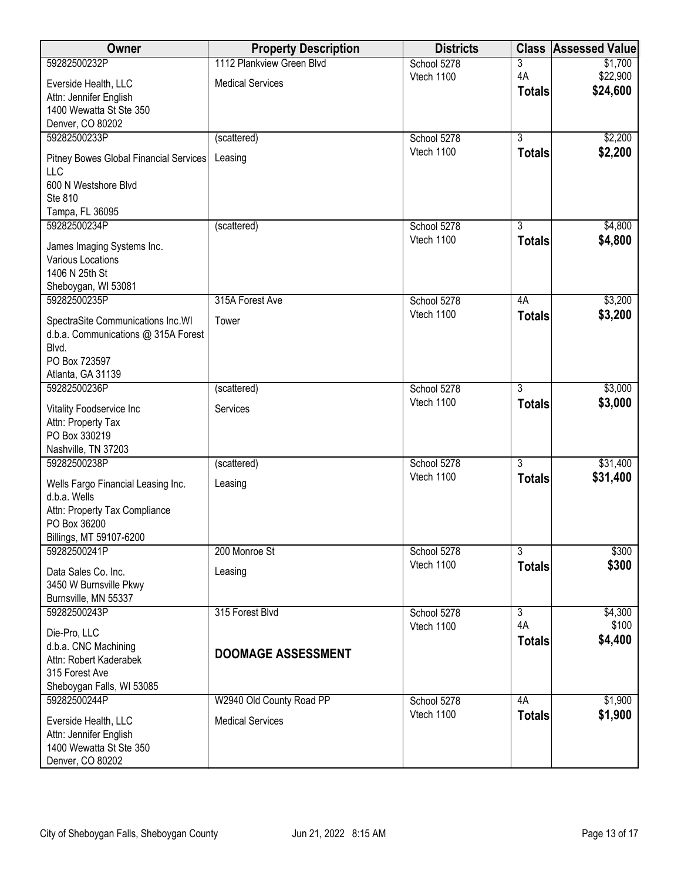| Owner                                                                                              | <b>Property Description</b> | <b>Districts</b> | <b>Class</b>   | <b>Assessed Value</b> |
|----------------------------------------------------------------------------------------------------|-----------------------------|------------------|----------------|-----------------------|
| 59282500232P                                                                                       | 1112 Plankview Green Blvd   | School 5278      | 3              | \$1,700               |
| Everside Health, LLC                                                                               | <b>Medical Services</b>     | Vtech 1100       | 4A             | \$22,900              |
| Attn: Jennifer English                                                                             |                             |                  | <b>Totals</b>  | \$24,600              |
| 1400 Wewatta St Ste 350                                                                            |                             |                  |                |                       |
| Denver, CO 80202                                                                                   |                             |                  |                |                       |
| 59282500233P                                                                                       | (scattered)                 | School 5278      | $\overline{3}$ | \$2,200               |
| Pitney Bowes Global Financial Services<br>LLC<br>600 N Westshore Blvd                              | Leasing                     | Vtech 1100       | <b>Totals</b>  | \$2,200               |
| Ste 810<br>Tampa, FL 36095                                                                         |                             |                  |                |                       |
| 59282500234P                                                                                       | (scattered)                 | School 5278      | $\overline{3}$ | \$4,800               |
| James Imaging Systems Inc.<br>Various Locations<br>1406 N 25th St<br>Sheboygan, WI 53081           |                             | Vtech 1100       | <b>Totals</b>  | \$4,800               |
| 59282500235P                                                                                       | 315A Forest Ave             | School 5278      | 4A             | \$3,200               |
| SpectraSite Communications Inc.WI<br>d.b.a. Communications @ 315A Forest<br>Blvd.<br>PO Box 723597 | Tower                       | Vtech 1100       | <b>Totals</b>  | \$3,200               |
| Atlanta, GA 31139                                                                                  |                             |                  |                |                       |
| 59282500236P                                                                                       | (scattered)                 | School 5278      | $\overline{3}$ | \$3,000               |
|                                                                                                    |                             | Vtech 1100       | <b>Totals</b>  | \$3,000               |
| Vitality Foodservice Inc<br>Attn: Property Tax<br>PO Box 330219                                    | Services                    |                  |                |                       |
| Nashville, TN 37203<br>59282500238P                                                                | (scattered)                 | School 5278      | $\overline{3}$ | \$31,400              |
| Wells Fargo Financial Leasing Inc.                                                                 | Leasing                     | Vtech 1100       | <b>Totals</b>  | \$31,400              |
| d.b.a. Wells                                                                                       |                             |                  |                |                       |
| Attn: Property Tax Compliance<br>PO Box 36200                                                      |                             |                  |                |                       |
| Billings, MT 59107-6200                                                                            |                             |                  |                |                       |
| 59282500241P                                                                                       | 200 Monroe St               | School 5278      | $\overline{3}$ | \$300                 |
| Data Sales Co. Inc.                                                                                | Leasing                     | Vtech 1100       | <b>Totals</b>  | \$300                 |
| 3450 W Burnsville Pkwy                                                                             |                             |                  |                |                       |
| Burnsville, MN 55337                                                                               |                             |                  |                |                       |
| 59282500243P                                                                                       | 315 Forest Blvd             | School 5278      | $\overline{3}$ | \$4,300               |
|                                                                                                    |                             | Vtech 1100       | 4A             | \$100                 |
| Die-Pro, LLC<br>d.b.a. CNC Machining                                                               |                             |                  | <b>Totals</b>  | \$4,400               |
| Attn: Robert Kaderabek                                                                             | <b>DOOMAGE ASSESSMENT</b>   |                  |                |                       |
| 315 Forest Ave                                                                                     |                             |                  |                |                       |
| Sheboygan Falls, WI 53085                                                                          |                             |                  |                |                       |
| 59282500244P                                                                                       | W2940 Old County Road PP    | School 5278      | 4A             | \$1,900               |
| Everside Health, LLC<br>Attn: Jennifer English<br>1400 Wewatta St Ste 350<br>Denver, CO 80202      | <b>Medical Services</b>     | Vtech 1100       | <b>Totals</b>  | \$1,900               |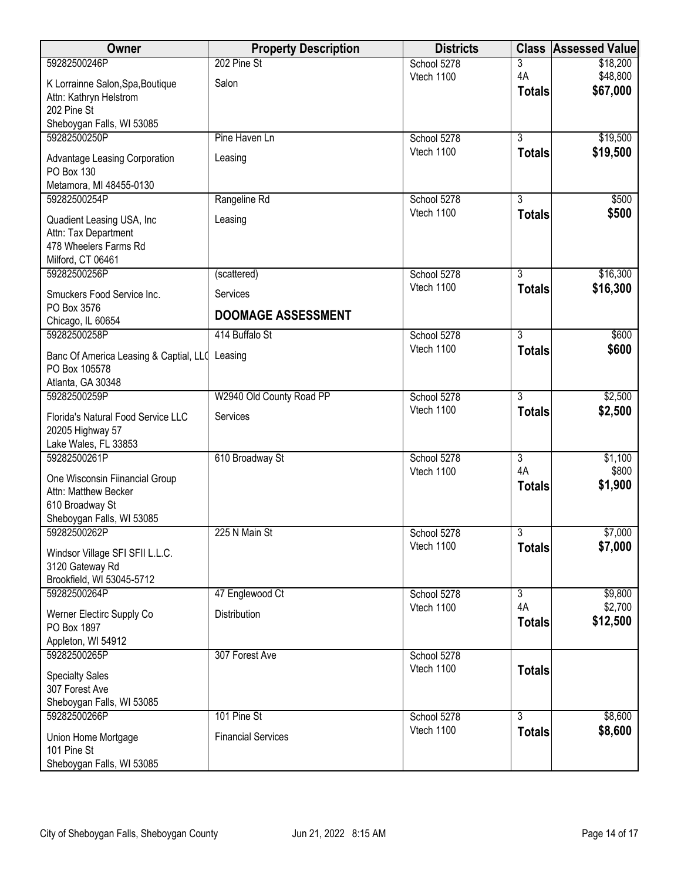| Owner                                        | <b>Property Description</b> | <b>Districts</b> |                | <b>Class Assessed Value</b> |
|----------------------------------------------|-----------------------------|------------------|----------------|-----------------------------|
| 59282500246P                                 | 202 Pine St                 | School 5278      | 3              | \$18,200                    |
| K Lorrainne Salon, Spa, Boutique             | Salon                       | Vtech 1100       | 4A             | \$48,800                    |
| Attn: Kathryn Helstrom                       |                             |                  | <b>Totals</b>  | \$67,000                    |
| 202 Pine St                                  |                             |                  |                |                             |
| Sheboygan Falls, WI 53085                    |                             |                  |                |                             |
| 59282500250P                                 | Pine Haven Ln               | School 5278      | $\overline{3}$ | \$19,500                    |
| Advantage Leasing Corporation<br>PO Box 130  | Leasing                     | Vtech 1100       | <b>Totals</b>  | \$19,500                    |
| Metamora, MI 48455-0130                      |                             |                  |                |                             |
| 59282500254P                                 | Rangeline Rd                | School 5278      | $\overline{3}$ | \$500                       |
| Quadient Leasing USA, Inc.                   | Leasing                     | Vtech 1100       | <b>Totals</b>  | \$500                       |
| Attn: Tax Department                         |                             |                  |                |                             |
| 478 Wheelers Farms Rd<br>Milford, CT 06461   |                             |                  |                |                             |
| 59282500256P                                 | (scattered)                 | School 5278      | 3              | \$16,300                    |
| Smuckers Food Service Inc.                   | Services                    | Vtech 1100       | <b>Totals</b>  | \$16,300                    |
| PO Box 3576<br>Chicago, IL 60654             | <b>DOOMAGE ASSESSMENT</b>   |                  |                |                             |
| 59282500258P                                 | 414 Buffalo St              | School 5278      | $\overline{3}$ | \$600                       |
| Banc Of America Leasing & Captial, LLO       | Leasing                     | Vtech 1100       | <b>Totals</b>  | \$600                       |
| PO Box 105578                                |                             |                  |                |                             |
| Atlanta, GA 30348<br>59282500259P            | W2940 Old County Road PP    | School 5278      | $\overline{3}$ | \$2,500                     |
|                                              |                             | Vtech 1100       | <b>Totals</b>  | \$2,500                     |
| Florida's Natural Food Service LLC           | Services                    |                  |                |                             |
| 20205 Highway 57                             |                             |                  |                |                             |
| Lake Wales, FL 33853<br>59282500261P         | 610 Broadway St             | School 5278      | $\overline{3}$ | \$1,100                     |
|                                              |                             | Vtech 1100       | 4A             | \$800                       |
| One Wisconsin Fiinancial Group               |                             |                  | <b>Totals</b>  | \$1,900                     |
| Attn: Matthew Becker                         |                             |                  |                |                             |
| 610 Broadway St                              |                             |                  |                |                             |
| Sheboygan Falls, WI 53085<br>59282500262P    | 225 N Main St               | School 5278      | 3              | \$7,000                     |
|                                              |                             | Vtech 1100       | <b>Totals</b>  | \$7,000                     |
| Windsor Village SFI SFII L.L.C.              |                             |                  |                |                             |
| 3120 Gateway Rd<br>Brookfield, WI 53045-5712 |                             |                  |                |                             |
| 59282500264P                                 | 47 Englewood Ct             | School 5278      | $\overline{3}$ | \$9,800                     |
| Werner Electirc Supply Co                    | Distribution                | Vtech 1100       | 4A             | \$2,700                     |
| PO Box 1897                                  |                             |                  | <b>Totals</b>  | \$12,500                    |
| Appleton, WI 54912                           |                             |                  |                |                             |
| 59282500265P                                 | 307 Forest Ave              | School 5278      |                |                             |
| <b>Specialty Sales</b>                       |                             | Vtech 1100       | <b>Totals</b>  |                             |
| 307 Forest Ave                               |                             |                  |                |                             |
| Sheboygan Falls, WI 53085                    |                             |                  |                |                             |
| 59282500266P                                 | 101 Pine St                 | School 5278      | $\overline{3}$ | \$8,600                     |
| Union Home Mortgage                          | <b>Financial Services</b>   | Vtech 1100       | <b>Totals</b>  | \$8,600                     |
| 101 Pine St                                  |                             |                  |                |                             |
| Sheboygan Falls, WI 53085                    |                             |                  |                |                             |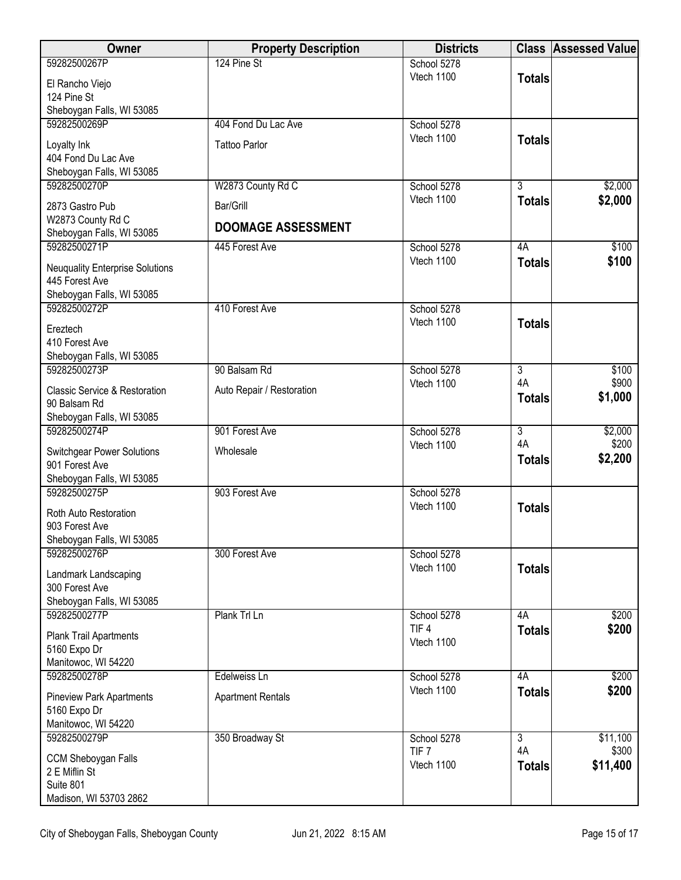| Owner                                    | <b>Property Description</b> | <b>Districts</b>               |                | <b>Class Assessed Value</b> |
|------------------------------------------|-----------------------------|--------------------------------|----------------|-----------------------------|
| 59282500267P                             | 124 Pine St                 | School 5278                    |                |                             |
| El Rancho Viejo                          |                             | Vtech 1100                     | <b>Totals</b>  |                             |
| 124 Pine St                              |                             |                                |                |                             |
| Sheboygan Falls, WI 53085                |                             |                                |                |                             |
| 59282500269P                             | 404 Fond Du Lac Ave         | School 5278                    |                |                             |
| Loyalty Ink                              | <b>Tattoo Parlor</b>        | Vtech 1100                     | <b>Totals</b>  |                             |
| 404 Fond Du Lac Ave                      |                             |                                |                |                             |
| Sheboygan Falls, WI 53085                |                             |                                |                |                             |
| 59282500270P                             | W2873 County Rd C           | School 5278                    | 3              | \$2,000                     |
| 2873 Gastro Pub                          | Bar/Grill                   | Vtech 1100                     | <b>Totals</b>  | \$2,000                     |
| W2873 County Rd C                        |                             |                                |                |                             |
| Sheboygan Falls, WI 53085                | <b>DOOMAGE ASSESSMENT</b>   |                                |                |                             |
| 59282500271P                             | 445 Forest Ave              | School 5278                    | 4A             | \$100                       |
| <b>Neuquality Enterprise Solutions</b>   |                             | Vtech 1100                     | <b>Totals</b>  | \$100                       |
| 445 Forest Ave                           |                             |                                |                |                             |
| Sheboygan Falls, WI 53085                |                             |                                |                |                             |
| 59282500272P                             | 410 Forest Ave              | School 5278                    |                |                             |
| Ereztech                                 |                             | Vtech 1100                     | <b>Totals</b>  |                             |
| 410 Forest Ave                           |                             |                                |                |                             |
| Sheboygan Falls, WI 53085                |                             |                                |                |                             |
| 59282500273P                             | 90 Balsam Rd                | School 5278                    | 3              | \$100                       |
| <b>Classic Service &amp; Restoration</b> | Auto Repair / Restoration   | Vtech 1100                     | 4A             | \$900                       |
| 90 Balsam Rd                             |                             |                                | <b>Totals</b>  | \$1,000                     |
| Sheboygan Falls, WI 53085                |                             |                                |                |                             |
| 59282500274P                             | 901 Forest Ave              | School 5278                    | $\overline{3}$ | \$2,000                     |
| <b>Switchgear Power Solutions</b>        | Wholesale                   | Vtech 1100                     | 4A             | \$200                       |
| 901 Forest Ave                           |                             |                                | <b>Totals</b>  | \$2,200                     |
| Sheboygan Falls, WI 53085                |                             |                                |                |                             |
| 59282500275P                             | 903 Forest Ave              | School 5278                    |                |                             |
| Roth Auto Restoration                    |                             | Vtech 1100                     | <b>Totals</b>  |                             |
| 903 Forest Ave                           |                             |                                |                |                             |
| Sheboygan Falls, WI 53085                |                             |                                |                |                             |
| 59282500276P                             | 300 Forest Ave              | School 5278                    |                |                             |
| Landmark Landscaping                     |                             | Vtech 1100                     | <b>Totals</b>  |                             |
| 300 Forest Ave                           |                             |                                |                |                             |
| Sheboygan Falls, WI 53085                |                             |                                |                |                             |
| 59282500277P                             | Plank Trl Ln                | School 5278                    | 4A             | \$200                       |
| <b>Plank Trail Apartments</b>            |                             | TIF <sub>4</sub><br>Vtech 1100 | <b>Totals</b>  | \$200                       |
| 5160 Expo Dr                             |                             |                                |                |                             |
| Manitowoc, WI 54220                      |                             |                                |                |                             |
| 59282500278P                             | Edelweiss Ln                | School 5278                    | 4A             | \$200                       |
| <b>Pineview Park Apartments</b>          | <b>Apartment Rentals</b>    | Vtech 1100                     | <b>Totals</b>  | \$200                       |
| 5160 Expo Dr                             |                             |                                |                |                             |
| Manitowoc, WI 54220                      |                             |                                |                |                             |
| 59282500279P                             | 350 Broadway St             | School 5278                    | 3<br>4A        | \$11,100<br>\$300           |
| <b>CCM Sheboygan Falls</b>               |                             | TIF <sub>7</sub><br>Vtech 1100 | <b>Totals</b>  | \$11,400                    |
| 2 E Miflin St                            |                             |                                |                |                             |
| Suite 801                                |                             |                                |                |                             |
| Madison, WI 53703 2862                   |                             |                                |                |                             |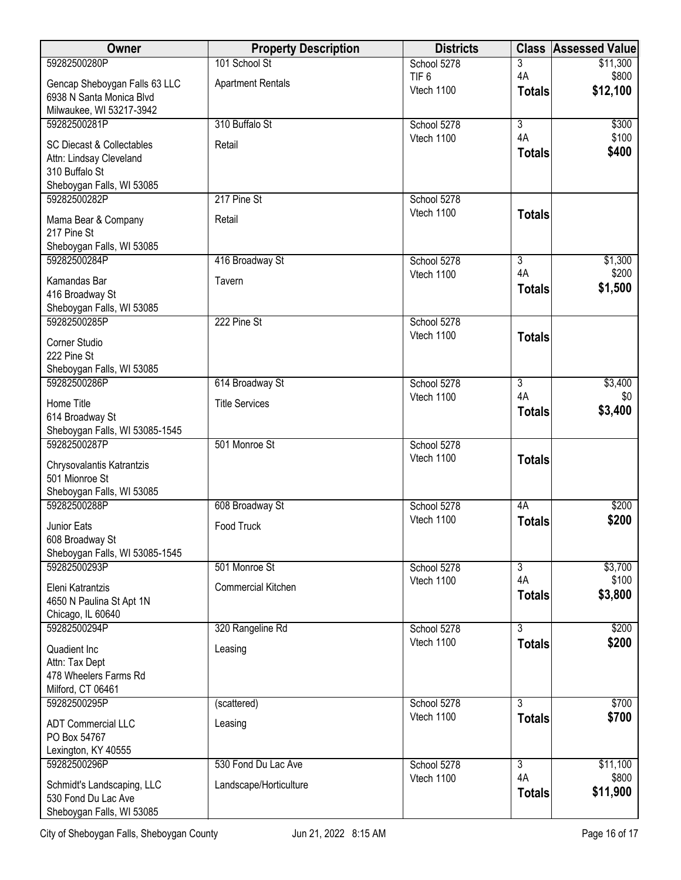| Owner                                                                                                          | <b>Property Description</b> | <b>Districts</b>               |                     | <b>Class Assessed Value</b> |
|----------------------------------------------------------------------------------------------------------------|-----------------------------|--------------------------------|---------------------|-----------------------------|
| 59282500280P                                                                                                   | 101 School St               | School 5278                    | 3                   | \$11,300                    |
| Gencap Sheboygan Falls 63 LLC<br>6938 N Santa Monica Blvd<br>Milwaukee, WI 53217-3942                          | <b>Apartment Rentals</b>    | TIF <sub>6</sub><br>Vtech 1100 | 4A<br><b>Totals</b> | \$800<br>\$12,100           |
| 59282500281P                                                                                                   | 310 Buffalo St              | School 5278                    | $\overline{3}$      | \$300                       |
| <b>SC Diecast &amp; Collectables</b><br>Attn: Lindsay Cleveland<br>310 Buffalo St<br>Sheboygan Falls, WI 53085 | Retail                      | Vtech 1100                     | 4A<br><b>Totals</b> | \$100<br>\$400              |
| 59282500282P                                                                                                   | 217 Pine St                 | School 5278                    |                     |                             |
| Mama Bear & Company<br>217 Pine St<br>Sheboygan Falls, WI 53085                                                | Retail                      | Vtech 1100                     | <b>Totals</b>       |                             |
| 59282500284P                                                                                                   | 416 Broadway St             | School 5278                    | $\overline{3}$      | \$1,300                     |
| Kamandas Bar<br>416 Broadway St<br>Sheboygan Falls, WI 53085                                                   | Tavern                      | Vtech 1100                     | 4A<br><b>Totals</b> | \$200<br>\$1,500            |
| 59282500285P                                                                                                   | 222 Pine St                 | School 5278                    |                     |                             |
| Corner Studio<br>222 Pine St<br>Sheboygan Falls, WI 53085                                                      |                             | Vtech 1100                     | <b>Totals</b>       |                             |
| 59282500286P                                                                                                   | 614 Broadway St             | School 5278                    | $\overline{3}$      | \$3,400                     |
| Home Title<br>614 Broadway St<br>Sheboygan Falls, WI 53085-1545                                                | <b>Title Services</b>       | Vtech 1100                     | 4A<br><b>Totals</b> | \$0<br>\$3,400              |
| 59282500287P<br>Chrysovalantis Katrantzis                                                                      | 501 Monroe St               | School 5278<br>Vtech 1100      | <b>Totals</b>       |                             |
| 501 Mionroe St<br>Sheboygan Falls, WI 53085                                                                    |                             |                                |                     |                             |
| 59282500288P                                                                                                   | 608 Broadway St             | School 5278                    | 4A                  | \$200                       |
| Junior Eats<br>608 Broadway St<br>Sheboygan Falls, WI 53085-1545                                               | Food Truck                  | Vtech 1100                     | <b>Totals</b>       | \$200                       |
| 59282500293P                                                                                                   | 501 Monroe St               | School 5278                    | $\overline{3}$      | \$3,700                     |
| Eleni Katrantzis<br>4650 N Paulina St Apt 1N<br>Chicago, IL 60640                                              | Commercial Kitchen          | Vtech 1100                     | 4A<br><b>Totals</b> | \$100<br>\$3,800            |
| 59282500294P                                                                                                   | 320 Rangeline Rd            | School 5278                    | $\overline{3}$      | \$200                       |
| Quadient Inc<br>Attn: Tax Dept<br>478 Wheelers Farms Rd<br>Milford, CT 06461                                   | Leasing                     | Vtech 1100                     | <b>Totals</b>       | \$200                       |
| 59282500295P                                                                                                   | (scattered)                 | School 5278                    | $\overline{3}$      | \$700                       |
| <b>ADT Commercial LLC</b><br>PO Box 54767<br>Lexington, KY 40555                                               | Leasing                     | Vtech 1100                     | <b>Totals</b>       | \$700                       |
| 59282500296P                                                                                                   | 530 Fond Du Lac Ave         | School 5278                    | 3                   | \$11,100                    |
| Schmidt's Landscaping, LLC<br>530 Fond Du Lac Ave<br>Sheboygan Falls, WI 53085                                 | Landscape/Horticulture      | Vtech 1100                     | 4A<br><b>Totals</b> | \$800<br>\$11,900           |